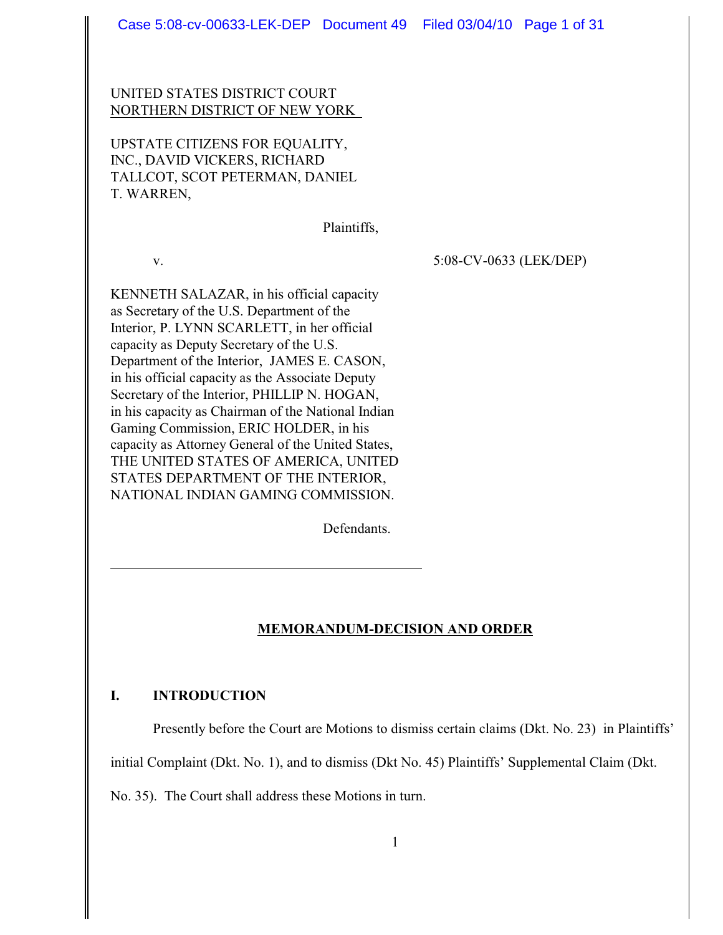# UNITED STATES DISTRICT COURT NORTHERN DISTRICT OF NEW YORK

UPSTATE CITIZENS FOR EQUALITY, INC., DAVID VICKERS, RICHARD TALLCOT, SCOT PETERMAN, DANIEL T. WARREN,

Plaintiffs,

v. 5:08-CV-0633 (LEK/DEP)

KENNETH SALAZAR, in his official capacity as Secretary of the U.S. Department of the Interior, P. LYNN SCARLETT, in her official capacity as Deputy Secretary of the U.S. Department of the Interior, JAMES E. CASON, in his official capacity as the Associate Deputy Secretary of the Interior, PHILLIP N. HOGAN, in his capacity as Chairman of the National Indian Gaming Commission, ERIC HOLDER, in his capacity as Attorney General of the United States, THE UNITED STATES OF AMERICA, UNITED STATES DEPARTMENT OF THE INTERIOR, NATIONAL INDIAN GAMING COMMISSION.

Defendants.

l

# **MEMORANDUM-DECISION AND ORDER**

# **I. INTRODUCTION**

Presently before the Court are Motions to dismiss certain claims (Dkt. No. 23) in Plaintiffs'

initial Complaint (Dkt. No. 1), and to dismiss (Dkt No. 45) Plaintiffs' Supplemental Claim (Dkt.

No. 35). The Court shall address these Motions in turn.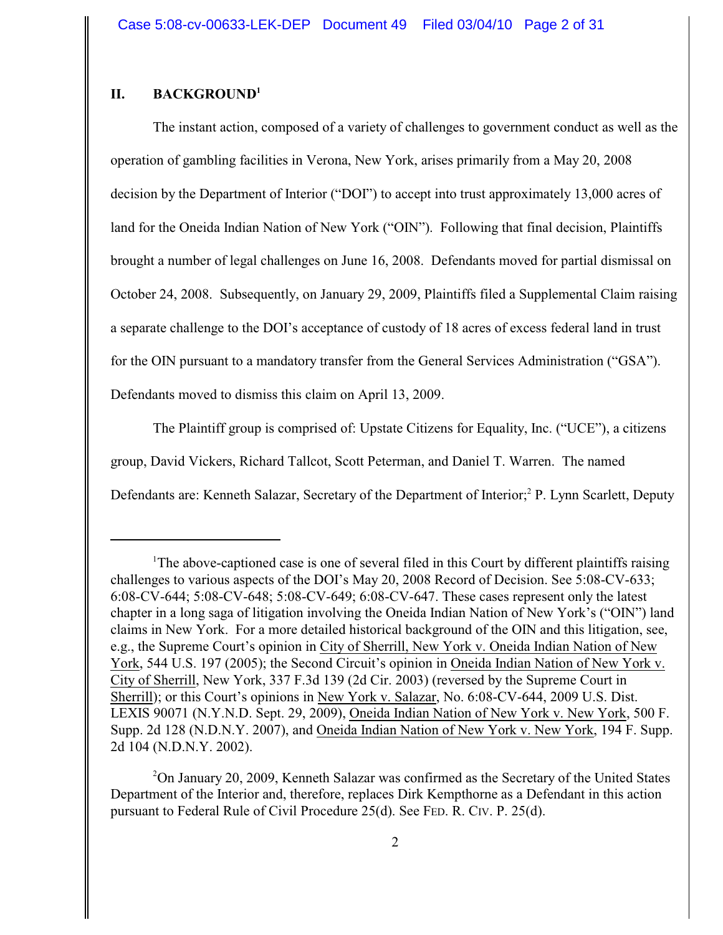# **II. BACKGROUND<sup>1</sup>**

The instant action, composed of a variety of challenges to government conduct as well as the operation of gambling facilities in Verona, New York, arises primarily from a May 20, 2008 decision by the Department of Interior ("DOI") to accept into trust approximately 13,000 acres of land for the Oneida Indian Nation of New York ("OIN"). Following that final decision, Plaintiffs brought a number of legal challenges on June 16, 2008. Defendants moved for partial dismissal on October 24, 2008. Subsequently, on January 29, 2009, Plaintiffs filed a Supplemental Claim raising a separate challenge to the DOI's acceptance of custody of 18 acres of excess federal land in trust for the OIN pursuant to a mandatory transfer from the General Services Administration ("GSA"). Defendants moved to dismiss this claim on April 13, 2009.

The Plaintiff group is comprised of: Upstate Citizens for Equality, Inc. ("UCE"), a citizens group, David Vickers, Richard Tallcot, Scott Peterman, and Daniel T. Warren. The named Defendants are: Kenneth Salazar, Secretary of the Department of Interior;<sup>2</sup> P. Lynn Scarlett, Deputy

 $2$ On January 20, 2009, Kenneth Salazar was confirmed as the Secretary of the United States Department of the Interior and, therefore, replaces Dirk Kempthorne as a Defendant in this action pursuant to Federal Rule of Civil Procedure 25(d). See FED. R. CIV. P. 25(d).

<sup>&</sup>lt;sup>1</sup>The above-captioned case is one of several filed in this Court by different plaintiffs raising challenges to various aspects of the DOI's May 20, 2008 Record of Decision. See 5:08-CV-633; 6:08-CV-644; 5:08-CV-648; 5:08-CV-649; 6:08-CV-647. These cases represent only the latest chapter in a long saga of litigation involving the Oneida Indian Nation of New York's ("OIN") land claims in New York. For a more detailed historical background of the OIN and this litigation, see, e.g., the Supreme Court's opinion in City of Sherrill, New York v. Oneida Indian Nation of New York, 544 U.S. 197 (2005); the Second Circuit's opinion in Oneida Indian Nation of New York v. City of Sherrill, New York, 337 F.3d 139 (2d Cir. 2003) (reversed by the Supreme Court in Sherrill); or this Court's opinions in New York v. Salazar, No. 6:08-CV-644, 2009 U.S. Dist. LEXIS 90071 (N.Y.N.D. Sept. 29, 2009), Oneida Indian Nation of New York v. New York, 500 F. Supp. 2d 128 (N.D.N.Y. 2007), and Oneida Indian Nation of New York v. New York, 194 F. Supp. 2d 104 (N.D.N.Y. 2002).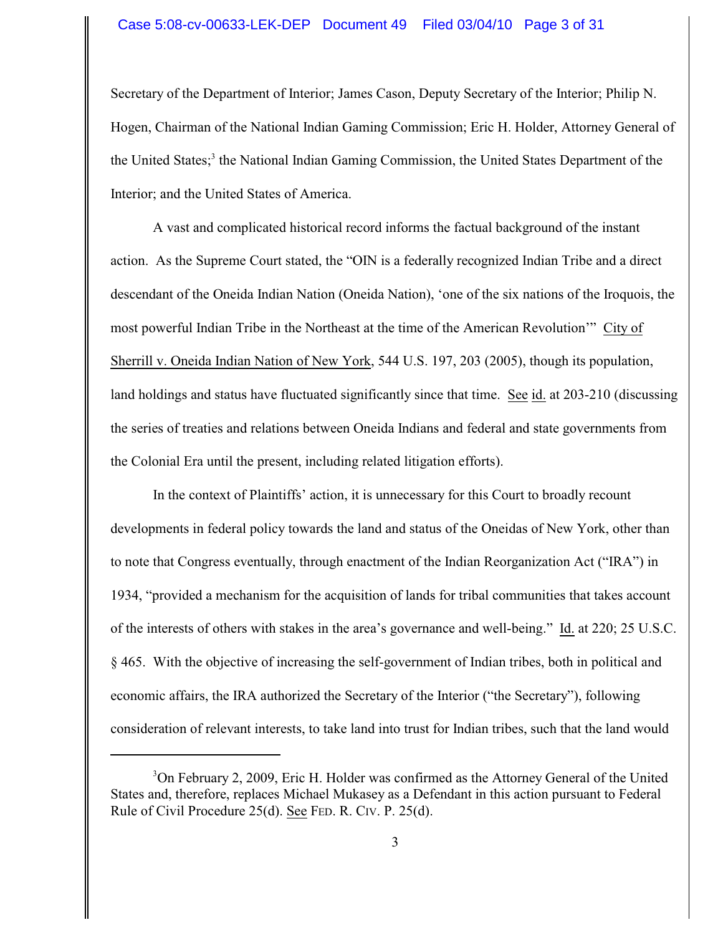## Case 5:08-cv-00633-LEK-DEP Document 49 Filed 03/04/10 Page 3 of 31

Secretary of the Department of Interior; James Cason, Deputy Secretary of the Interior; Philip N. Hogen, Chairman of the National Indian Gaming Commission; Eric H. Holder, Attorney General of the United States;<sup>3</sup> the National Indian Gaming Commission, the United States Department of the Interior; and the United States of America.

A vast and complicated historical record informs the factual background of the instant action. As the Supreme Court stated, the "OIN is a federally recognized Indian Tribe and a direct descendant of the Oneida Indian Nation (Oneida Nation), 'one of the six nations of the Iroquois, the most powerful Indian Tribe in the Northeast at the time of the American Revolution'" City of Sherrill v. Oneida Indian Nation of New York, 544 U.S. 197, 203 (2005), though its population, land holdings and status have fluctuated significantly since that time. See id. at 203-210 (discussing the series of treaties and relations between Oneida Indians and federal and state governments from the Colonial Era until the present, including related litigation efforts).

In the context of Plaintiffs' action, it is unnecessary for this Court to broadly recount developments in federal policy towards the land and status of the Oneidas of New York, other than to note that Congress eventually, through enactment of the Indian Reorganization Act ("IRA") in 1934, "provided a mechanism for the acquisition of lands for tribal communities that takes account of the interests of others with stakes in the area's governance and well-being." Id. at 220; 25 U.S.C. § 465. With the objective of increasing the self-government of Indian tribes, both in political and economic affairs, the IRA authorized the Secretary of the Interior ("the Secretary"), following consideration of relevant interests, to take land into trust for Indian tribes, such that the land would

<sup>&</sup>lt;sup>3</sup>On February 2, 2009, Eric H. Holder was confirmed as the Attorney General of the United States and, therefore, replaces Michael Mukasey as a Defendant in this action pursuant to Federal Rule of Civil Procedure 25(d). See FED. R. CIV. P. 25(d).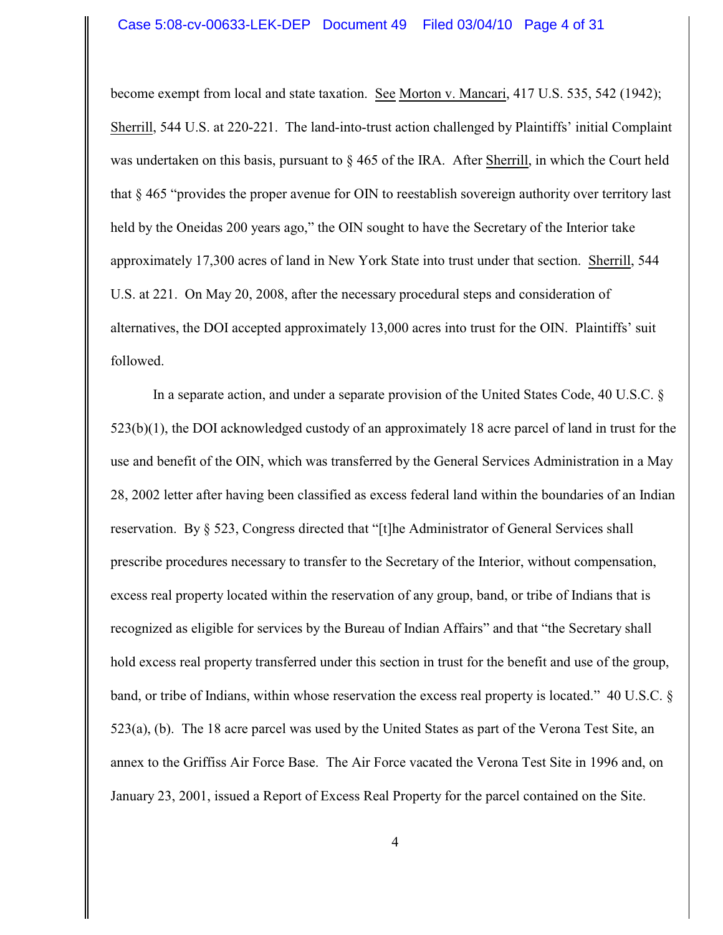become exempt from local and state taxation. See Morton v. Mancari, 417 U.S. 535, 542 (1942); Sherrill, 544 U.S. at 220-221. The land-into-trust action challenged by Plaintiffs' initial Complaint was undertaken on this basis, pursuant to  $\S$  465 of the IRA. After Sherrill, in which the Court held that § 465 "provides the proper avenue for OIN to reestablish sovereign authority over territory last held by the Oneidas 200 years ago," the OIN sought to have the Secretary of the Interior take approximately 17,300 acres of land in New York State into trust under that section. Sherrill, 544 U.S. at 221. On May 20, 2008, after the necessary procedural steps and consideration of alternatives, the DOI accepted approximately 13,000 acres into trust for the OIN. Plaintiffs' suit followed.

In a separate action, and under a separate provision of the United States Code, 40 U.S.C. § 523(b)(1), the DOI acknowledged custody of an approximately 18 acre parcel of land in trust for the use and benefit of the OIN, which was transferred by the General Services Administration in a May 28, 2002 letter after having been classified as excess federal land within the boundaries of an Indian reservation. By § 523, Congress directed that "[t]he Administrator of General Services shall prescribe procedures necessary to transfer to the Secretary of the Interior, without compensation, excess real property located within the reservation of any group, band, or tribe of Indians that is recognized as eligible for services by the Bureau of Indian Affairs" and that "the Secretary shall hold excess real property transferred under this section in trust for the benefit and use of the group, band, or tribe of Indians, within whose reservation the excess real property is located." 40 U.S.C. § 523(a), (b). The 18 acre parcel was used by the United States as part of the Verona Test Site, an annex to the Griffiss Air Force Base. The Air Force vacated the Verona Test Site in 1996 and, on January 23, 2001, issued a Report of Excess Real Property for the parcel contained on the Site.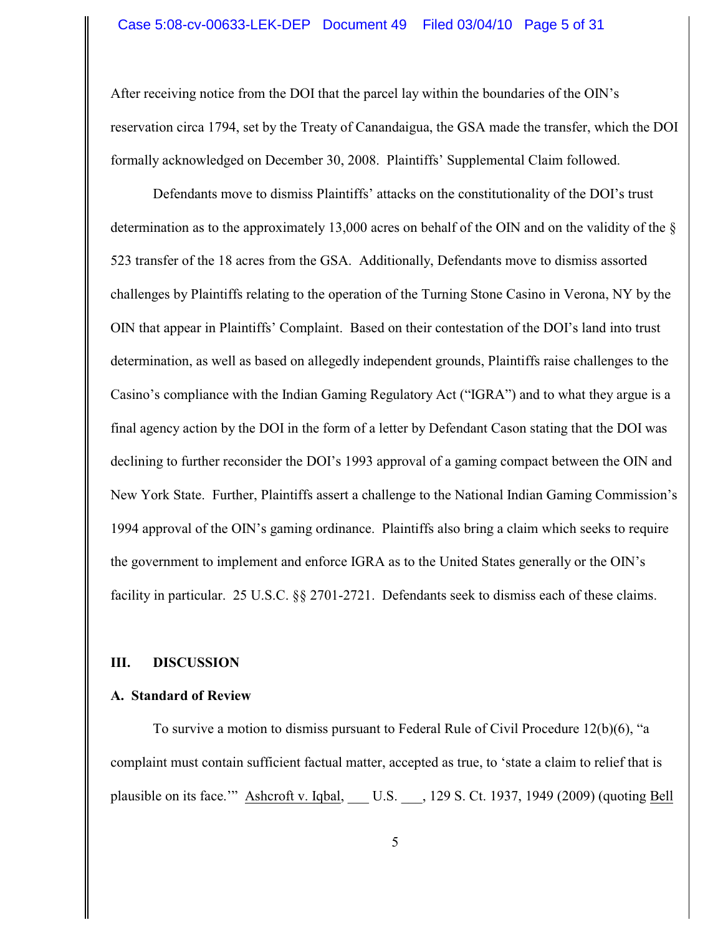After receiving notice from the DOI that the parcel lay within the boundaries of the OIN's reservation circa 1794, set by the Treaty of Canandaigua, the GSA made the transfer, which the DOI formally acknowledged on December 30, 2008. Plaintiffs' Supplemental Claim followed.

Defendants move to dismiss Plaintiffs' attacks on the constitutionality of the DOI's trust determination as to the approximately 13,000 acres on behalf of the OIN and on the validity of the § 523 transfer of the 18 acres from the GSA. Additionally, Defendants move to dismiss assorted challenges by Plaintiffs relating to the operation of the Turning Stone Casino in Verona, NY by the OIN that appear in Plaintiffs' Complaint. Based on their contestation of the DOI's land into trust determination, as well as based on allegedly independent grounds, Plaintiffs raise challenges to the Casino's compliance with the Indian Gaming Regulatory Act ("IGRA") and to what they argue is a final agency action by the DOI in the form of a letter by Defendant Cason stating that the DOI was declining to further reconsider the DOI's 1993 approval of a gaming compact between the OIN and New York State. Further, Plaintiffs assert a challenge to the National Indian Gaming Commission's 1994 approval of the OIN's gaming ordinance. Plaintiffs also bring a claim which seeks to require the government to implement and enforce IGRA as to the United States generally or the OIN's facility in particular. 25 U.S.C. §§ 2701-2721. Defendants seek to dismiss each of these claims.

## **III. DISCUSSION**

### **A. Standard of Review**

To survive a motion to dismiss pursuant to Federal Rule of Civil Procedure 12(b)(6), "a complaint must contain sufficient factual matter, accepted as true, to 'state a claim to relief that is plausible on its face." Ashcroft v. Iqbal, U.S. , 129 S. Ct. 1937, 1949 (2009) (quoting Bell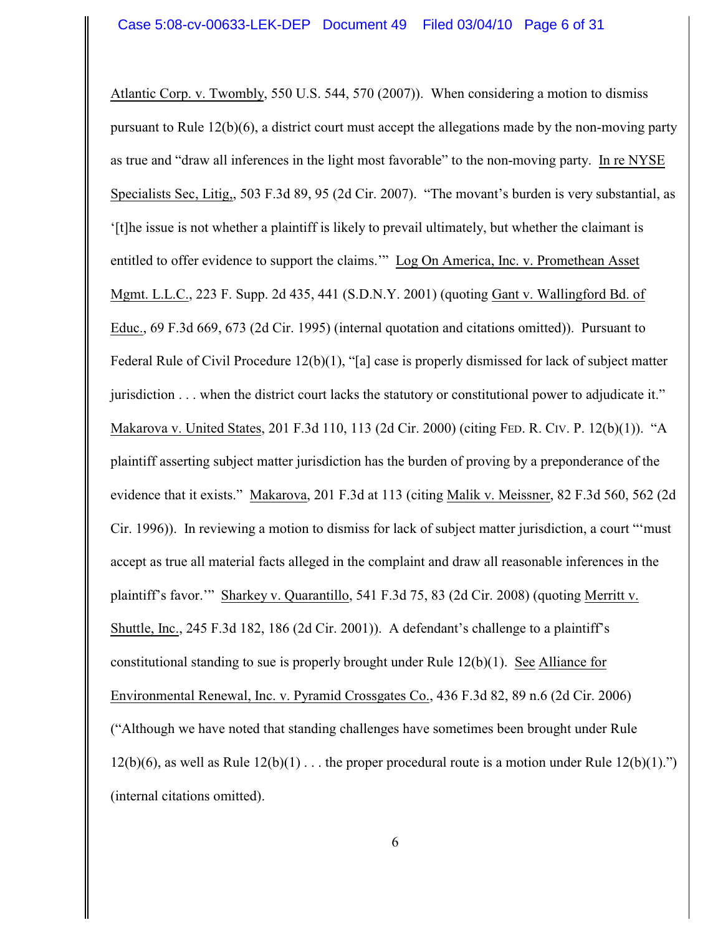Atlantic Corp. v. Twombly, 550 U.S. 544, 570 (2007)). When considering a motion to dismiss pursuant to Rule 12(b)(6), a district court must accept the allegations made by the non-moving party as true and "draw all inferences in the light most favorable" to the non-moving party. In re NYSE Specialists Sec, Litig,, 503 F.3d 89, 95 (2d Cir. 2007). "The movant's burden is very substantial, as '[t]he issue is not whether a plaintiff is likely to prevail ultimately, but whether the claimant is entitled to offer evidence to support the claims.'" Log On America, Inc. v. Promethean Asset Mgmt. L.L.C., 223 F. Supp. 2d 435, 441 (S.D.N.Y. 2001) (quoting Gant v. Wallingford Bd. of Educ., 69 F.3d 669, 673 (2d Cir. 1995) (internal quotation and citations omitted)). Pursuant to Federal Rule of Civil Procedure 12(b)(1), "[a] case is properly dismissed for lack of subject matter jurisdiction . . . when the district court lacks the statutory or constitutional power to adjudicate it." Makarova v. United States, 201 F.3d 110, 113 (2d Cir. 2000) (citing FED. R. CIV. P. 12(b)(1)). "A plaintiff asserting subject matter jurisdiction has the burden of proving by a preponderance of the evidence that it exists." Makarova, 201 F.3d at 113 (citing Malik v. Meissner, 82 F.3d 560, 562 (2d Cir. 1996)). In reviewing a motion to dismiss for lack of subject matter jurisdiction, a court "'must accept as true all material facts alleged in the complaint and draw all reasonable inferences in the plaintiff's favor.'" Sharkey v. Quarantillo, 541 F.3d 75, 83 (2d Cir. 2008) (quoting Merritt v. Shuttle, Inc., 245 F.3d 182, 186 (2d Cir. 2001)). A defendant's challenge to a plaintiff's constitutional standing to sue is properly brought under Rule 12(b)(1). See Alliance for Environmental Renewal, Inc. v. Pyramid Crossgates Co., 436 F.3d 82, 89 n.6 (2d Cir. 2006) ("Although we have noted that standing challenges have sometimes been brought under Rule 12(b)(6), as well as Rule  $12(b)(1)$ ... the proper procedural route is a motion under Rule  $12(b)(1)$ .") (internal citations omitted).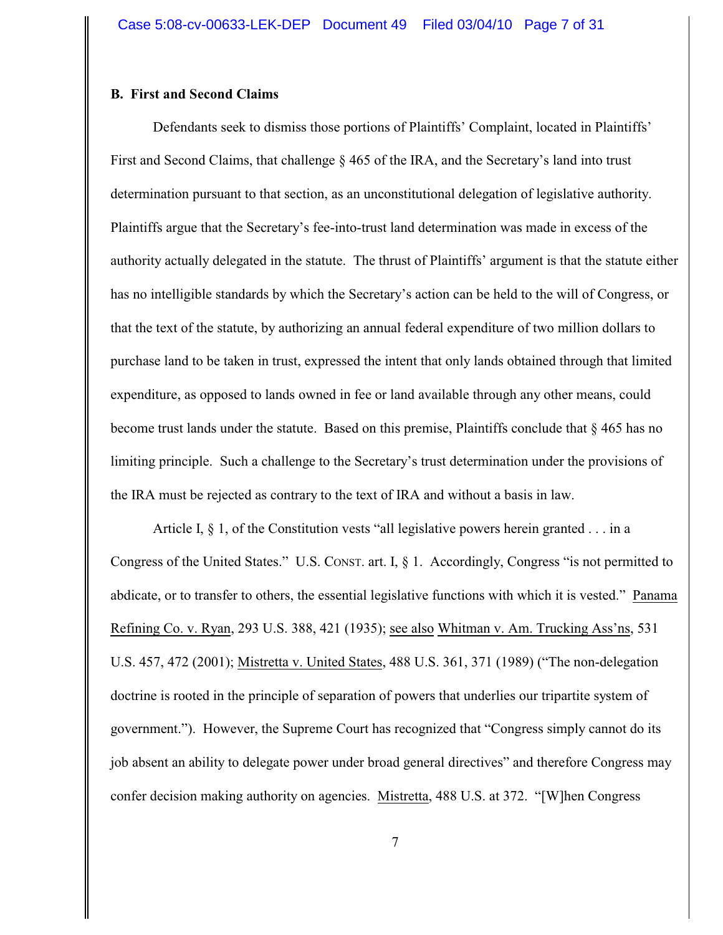## **B. First and Second Claims**

Defendants seek to dismiss those portions of Plaintiffs' Complaint, located in Plaintiffs' First and Second Claims, that challenge § 465 of the IRA, and the Secretary's land into trust determination pursuant to that section, as an unconstitutional delegation of legislative authority. Plaintiffs argue that the Secretary's fee-into-trust land determination was made in excess of the authority actually delegated in the statute. The thrust of Plaintiffs' argument is that the statute either has no intelligible standards by which the Secretary's action can be held to the will of Congress, or that the text of the statute, by authorizing an annual federal expenditure of two million dollars to purchase land to be taken in trust, expressed the intent that only lands obtained through that limited expenditure, as opposed to lands owned in fee or land available through any other means, could become trust lands under the statute. Based on this premise, Plaintiffs conclude that § 465 has no limiting principle. Such a challenge to the Secretary's trust determination under the provisions of the IRA must be rejected as contrary to the text of IRA and without a basis in law.

Article I,  $\S$  1, of the Constitution vests "all legislative powers herein granted . . . in a Congress of the United States." U.S. CONST. art. I,  $\S$  1. Accordingly, Congress "is not permitted to abdicate, or to transfer to others, the essential legislative functions with which it is vested." Panama Refining Co. v. Ryan, 293 U.S. 388, 421 (1935); see also Whitman v. Am. Trucking Ass'ns, 531 U.S. 457, 472 (2001); Mistretta v. United States, 488 U.S. 361, 371 (1989) ("The non-delegation doctrine is rooted in the principle of separation of powers that underlies our tripartite system of government."). However, the Supreme Court has recognized that "Congress simply cannot do its job absent an ability to delegate power under broad general directives" and therefore Congress may confer decision making authority on agencies. Mistretta, 488 U.S. at 372. "[W]hen Congress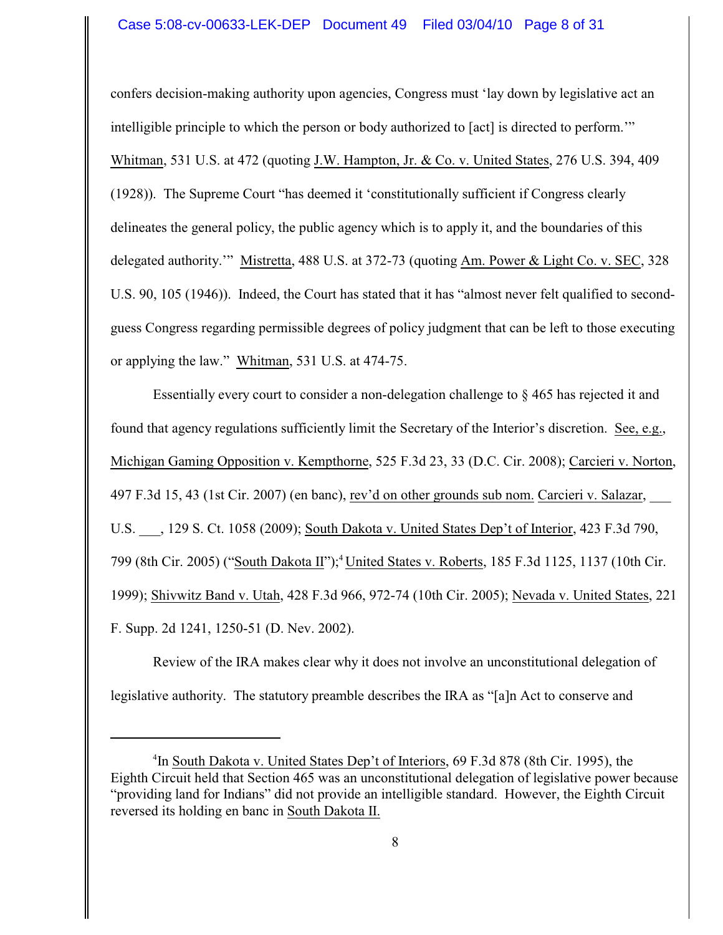confers decision-making authority upon agencies, Congress must 'lay down by legislative act an intelligible principle to which the person or body authorized to [act] is directed to perform.'" Whitman, 531 U.S. at 472 (quoting J.W. Hampton, Jr. & Co. v. United States, 276 U.S. 394, 409 (1928)). The Supreme Court "has deemed it 'constitutionally sufficient if Congress clearly delineates the general policy, the public agency which is to apply it, and the boundaries of this delegated authority.'" Mistretta, 488 U.S. at 372-73 (quoting Am. Power & Light Co. v. SEC, 328 U.S. 90, 105 (1946)). Indeed, the Court has stated that it has "almost never felt qualified to secondguess Congress regarding permissible degrees of policy judgment that can be left to those executing or applying the law." Whitman, 531 U.S. at 474-75.

Essentially every court to consider a non-delegation challenge to § 465 has rejected it and found that agency regulations sufficiently limit the Secretary of the Interior's discretion. See, e.g., Michigan Gaming Opposition v. Kempthorne, 525 F.3d 23, 33 (D.C. Cir. 2008); Carcieri v. Norton, 497 F.3d 15, 43 (1st Cir. 2007) (en banc), rev'd on other grounds sub nom. Carcieri v. Salazar, \_\_\_ U.S. \_\_\_, 129 S. Ct. 1058 (2009); South Dakota v. United States Dep't of Interior, 423 F.3d 790, 799 (8th Cir. 2005) ("South Dakota II");<sup>4</sup> United States v. Roberts, 185 F.3d 1125, 1137 (10th Cir. 1999); Shivwitz Band v. Utah, 428 F.3d 966, 972-74 (10th Cir. 2005); Nevada v. United States, 221 F. Supp. 2d 1241, 1250-51 (D. Nev. 2002).

Review of the IRA makes clear why it does not involve an unconstitutional delegation of legislative authority. The statutory preamble describes the IRA as "[a]n Act to conserve and

<sup>&</sup>lt;sup>4</sup>In South Dakota v. United States Dep't of Interiors, 69 F.3d 878 (8th Cir. 1995), the Eighth Circuit held that Section 465 was an unconstitutional delegation of legislative power because "providing land for Indians" did not provide an intelligible standard. However, the Eighth Circuit reversed its holding en banc in South Dakota II.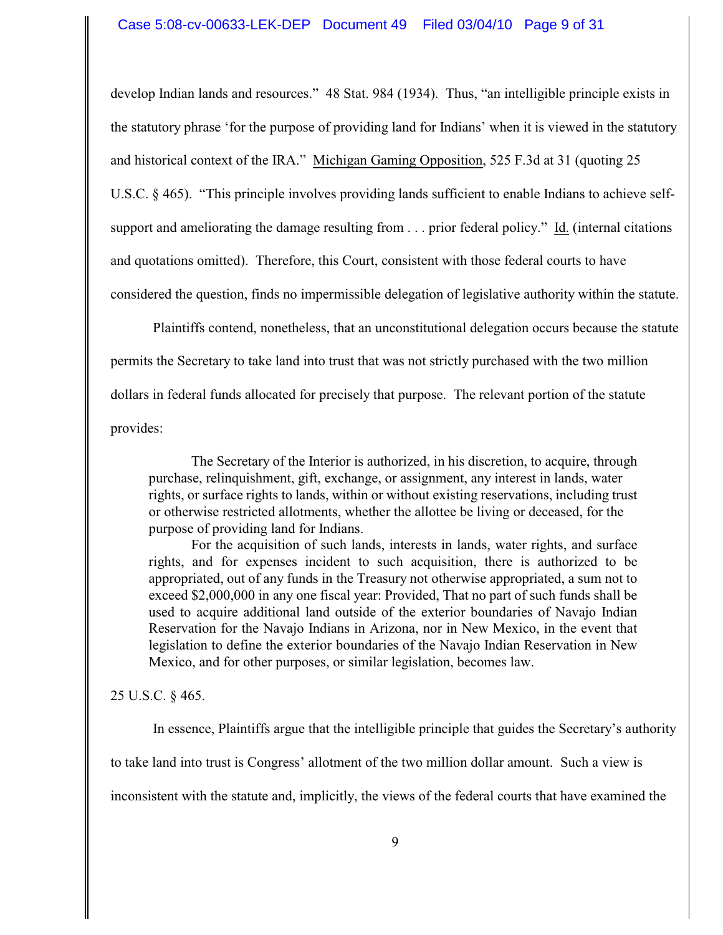develop Indian lands and resources." 48 Stat. 984 (1934). Thus, "an intelligible principle exists in the statutory phrase 'for the purpose of providing land for Indians' when it is viewed in the statutory and historical context of the IRA." Michigan Gaming Opposition, 525 F.3d at 31 (quoting 25 U.S.C. § 465). "This principle involves providing lands sufficient to enable Indians to achieve selfsupport and ameliorating the damage resulting from . . . prior federal policy." Id. (internal citations and quotations omitted). Therefore, this Court, consistent with those federal courts to have considered the question, finds no impermissible delegation of legislative authority within the statute.

Plaintiffs contend, nonetheless, that an unconstitutional delegation occurs because the statute permits the Secretary to take land into trust that was not strictly purchased with the two million dollars in federal funds allocated for precisely that purpose. The relevant portion of the statute provides:

The Secretary of the Interior is authorized, in his discretion, to acquire, through purchase, relinquishment, gift, exchange, or assignment, any interest in lands, water rights, or surface rights to lands, within or without existing reservations, including trust or otherwise restricted allotments, whether the allottee be living or deceased, for the purpose of providing land for Indians.

For the acquisition of such lands, interests in lands, water rights, and surface rights, and for expenses incident to such acquisition, there is authorized to be appropriated, out of any funds in the Treasury not otherwise appropriated, a sum not to exceed \$2,000,000 in any one fiscal year: Provided, That no part of such funds shall be used to acquire additional land outside of the exterior boundaries of Navajo Indian Reservation for the Navajo Indians in Arizona, nor in New Mexico, in the event that legislation to define the exterior boundaries of the Navajo Indian Reservation in New Mexico, and for other purposes, or similar legislation, becomes law.

### 25 U.S.C. § 465.

In essence, Plaintiffs argue that the intelligible principle that guides the Secretary's authority

to take land into trust is Congress' allotment of the two million dollar amount. Such a view is

inconsistent with the statute and, implicitly, the views of the federal courts that have examined the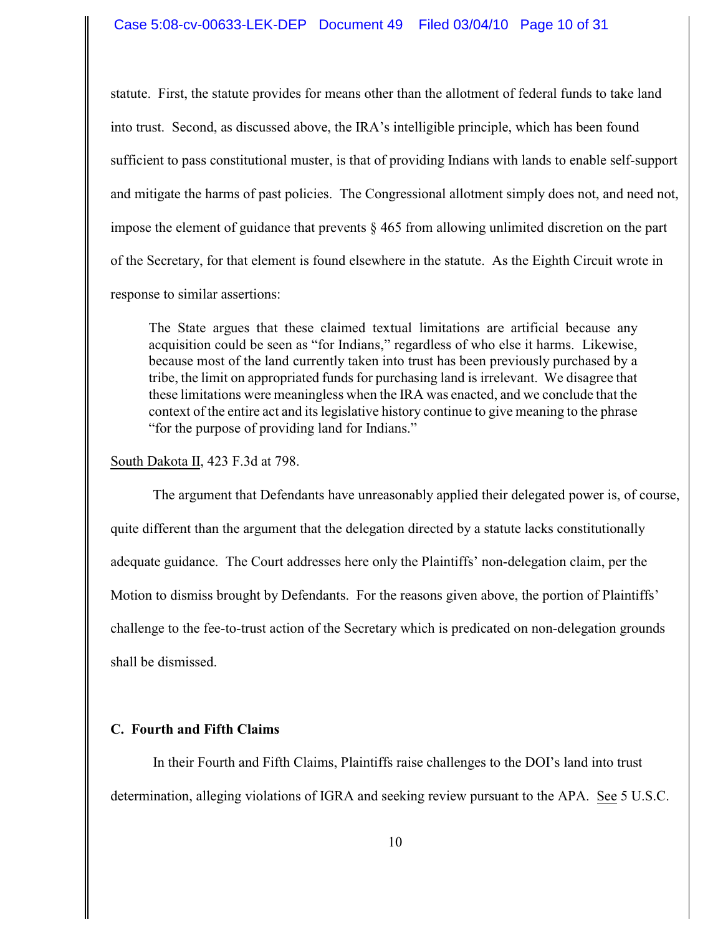statute. First, the statute provides for means other than the allotment of federal funds to take land into trust. Second, as discussed above, the IRA's intelligible principle, which has been found sufficient to pass constitutional muster, is that of providing Indians with lands to enable self-support and mitigate the harms of past policies. The Congressional allotment simply does not, and need not, impose the element of guidance that prevents  $\S 465$  from allowing unlimited discretion on the part of the Secretary, for that element is found elsewhere in the statute. As the Eighth Circuit wrote in response to similar assertions:

The State argues that these claimed textual limitations are artificial because any acquisition could be seen as "for Indians," regardless of who else it harms. Likewise, because most of the land currently taken into trust has been previously purchased by a tribe, the limit on appropriated funds for purchasing land is irrelevant. We disagree that these limitations were meaningless when the IRA was enacted, and we conclude that the context of the entire act and its legislative history continue to give meaning to the phrase "for the purpose of providing land for Indians."

South Dakota II, 423 F.3d at 798.

The argument that Defendants have unreasonably applied their delegated power is, of course, quite different than the argument that the delegation directed by a statute lacks constitutionally adequate guidance. The Court addresses here only the Plaintiffs' non-delegation claim, per the Motion to dismiss brought by Defendants. For the reasons given above, the portion of Plaintiffs' challenge to the fee-to-trust action of the Secretary which is predicated on non-delegation grounds shall be dismissed.

# **C. Fourth and Fifth Claims**

In their Fourth and Fifth Claims, Plaintiffs raise challenges to the DOI's land into trust determination, alleging violations of IGRA and seeking review pursuant to the APA. See 5 U.S.C.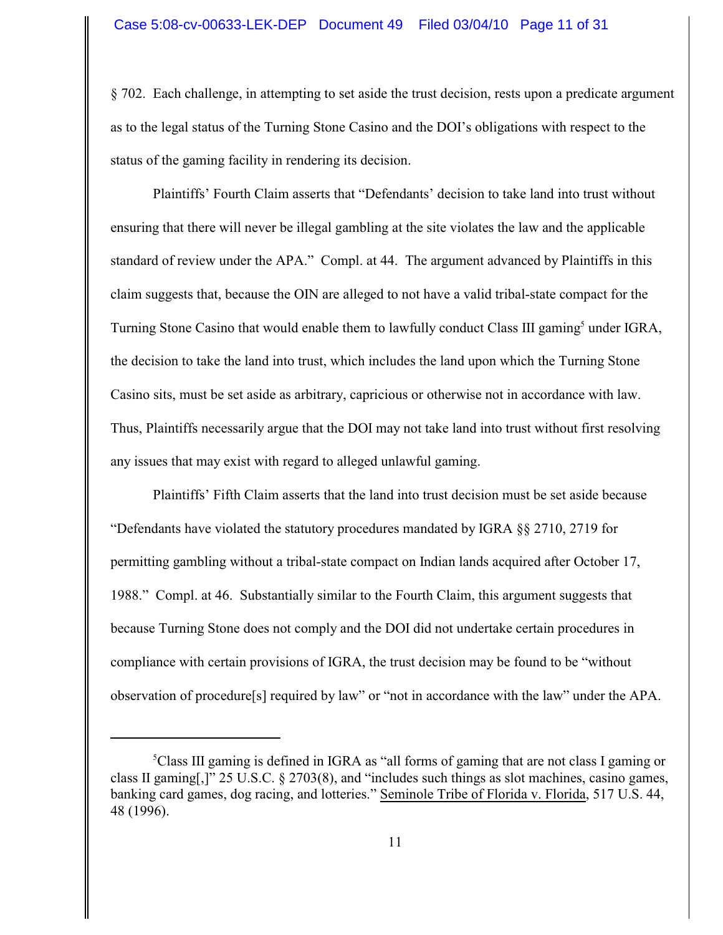§ 702. Each challenge, in attempting to set aside the trust decision, rests upon a predicate argument as to the legal status of the Turning Stone Casino and the DOI's obligations with respect to the status of the gaming facility in rendering its decision.

Plaintiffs' Fourth Claim asserts that "Defendants' decision to take land into trust without ensuring that there will never be illegal gambling at the site violates the law and the applicable standard of review under the APA." Compl. at 44. The argument advanced by Plaintiffs in this claim suggests that, because the OIN are alleged to not have a valid tribal-state compact for the Turning Stone Casino that would enable them to lawfully conduct Class III gaming<sup>5</sup> under IGRA, the decision to take the land into trust, which includes the land upon which the Turning Stone Casino sits, must be set aside as arbitrary, capricious or otherwise not in accordance with law. Thus, Plaintiffs necessarily argue that the DOI may not take land into trust without first resolving any issues that may exist with regard to alleged unlawful gaming.

Plaintiffs' Fifth Claim asserts that the land into trust decision must be set aside because "Defendants have violated the statutory procedures mandated by IGRA  $\S$  2710, 2719 for permitting gambling without a tribal-state compact on Indian lands acquired after October 17, 1988." Compl. at 46. Substantially similar to the Fourth Claim, this argument suggests that because Turning Stone does not comply and the DOI did not undertake certain procedures in compliance with certain provisions of IGRA, the trust decision may be found to be "without observation of procedure[s] required by law" or "not in accordance with the law" under the APA.

 ${}^5$ Class III gaming is defined in IGRA as "all forms of gaming that are not class I gaming or class II gaming[,]" 25 U.S.C. § 2703(8), and "includes such things as slot machines, casino games, banking card games, dog racing, and lotteries." Seminole Tribe of Florida v. Florida, 517 U.S. 44, 48 (1996).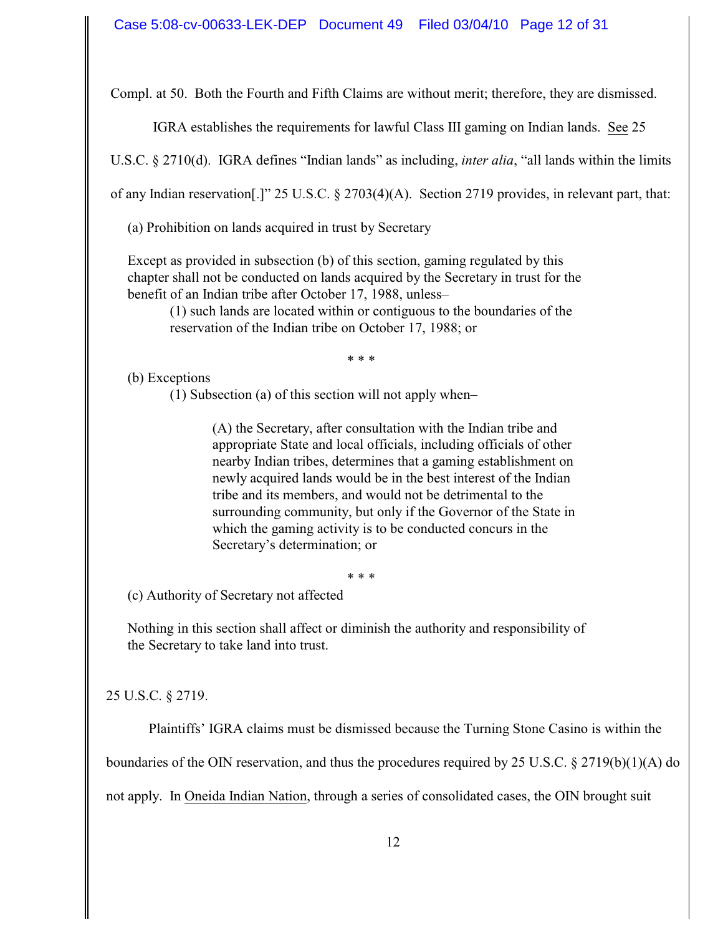Compl. at 50. Both the Fourth and Fifth Claims are without merit; therefore, they are dismissed.

IGRA establishes the requirements for lawful Class III gaming on Indian lands. See 25

U.S.C. § 2710(d). IGRA defines "Indian lands" as including, *inter alia*, "all lands within the limits

of any Indian reservation[.]" 25 U.S.C. § 2703(4)(A). Section 2719 provides, in relevant part, that:

(a) Prohibition on lands acquired in trust by Secretary

Except as provided in subsection (b) of this section, gaming regulated by this chapter shall not be conducted on lands acquired by the Secretary in trust for the benefit of an Indian tribe after October 17, 1988, unless–

(1) such lands are located within or contiguous to the boundaries of the reservation of the Indian tribe on October 17, 1988; or

\* \* \*

(b) Exceptions

(1) Subsection (a) of this section will not apply when–

(A) the Secretary, after consultation with the Indian tribe and appropriate State and local officials, including officials of other nearby Indian tribes, determines that a gaming establishment on newly acquired lands would be in the best interest of the Indian tribe and its members, and would not be detrimental to the surrounding community, but only if the Governor of the State in which the gaming activity is to be conducted concurs in the Secretary's determination; or

\* \* \*

(c) Authority of Secretary not affected

Nothing in this section shall affect or diminish the authority and responsibility of the Secretary to take land into trust.

25 U.S.C. § 2719.

Plaintiffs' IGRA claims must be dismissed because the Turning Stone Casino is within the

boundaries of the OIN reservation, and thus the procedures required by 25 U.S.C.  $\S 2719(b)(1)(A)$  do

not apply. In Oneida Indian Nation, through a series of consolidated cases, the OIN brought suit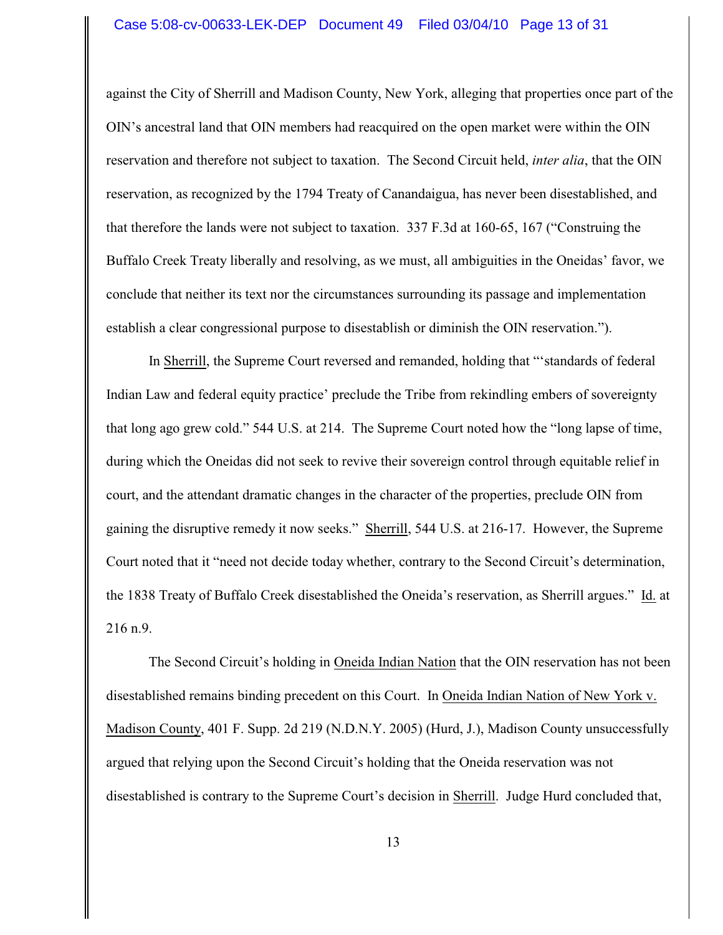#### Case 5:08-cv-00633-LEK-DEP Document 49 Filed 03/04/10 Page 13 of 31

against the City of Sherrill and Madison County, New York, alleging that properties once part of the OIN's ancestral land that OIN members had reacquired on the open market were within the OIN reservation and therefore not subject to taxation. The Second Circuit held, *inter alia*, that the OIN reservation, as recognized by the 1794 Treaty of Canandaigua, has never been disestablished, and that therefore the lands were not subject to taxation. 337 F.3d at 160-65, 167 ("Construing the Buffalo Creek Treaty liberally and resolving, as we must, all ambiguities in the Oneidas' favor, we conclude that neither its text nor the circumstances surrounding its passage and implementation establish a clear congressional purpose to disestablish or diminish the OIN reservation.").

In Sherrill, the Supreme Court reversed and remanded, holding that "'standards of federal Indian Law and federal equity practice' preclude the Tribe from rekindling embers of sovereignty that long ago grew cold." 544 U.S. at 214. The Supreme Court noted how the "long lapse of time, during which the Oneidas did not seek to revive their sovereign control through equitable relief in court, and the attendant dramatic changes in the character of the properties, preclude OIN from gaining the disruptive remedy it now seeks." Sherrill, 544 U.S. at 216-17. However, the Supreme Court noted that it "need not decide today whether, contrary to the Second Circuit's determination, the 1838 Treaty of Buffalo Creek disestablished the Oneida's reservation, as Sherrill argues." Id. at 216 n.9.

The Second Circuit's holding in Oneida Indian Nation that the OIN reservation has not been disestablished remains binding precedent on this Court. In Oneida Indian Nation of New York v. Madison County, 401 F. Supp. 2d 219 (N.D.N.Y. 2005) (Hurd, J.), Madison County unsuccessfully argued that relying upon the Second Circuit's holding that the Oneida reservation was not disestablished is contrary to the Supreme Court's decision in Sherrill. Judge Hurd concluded that,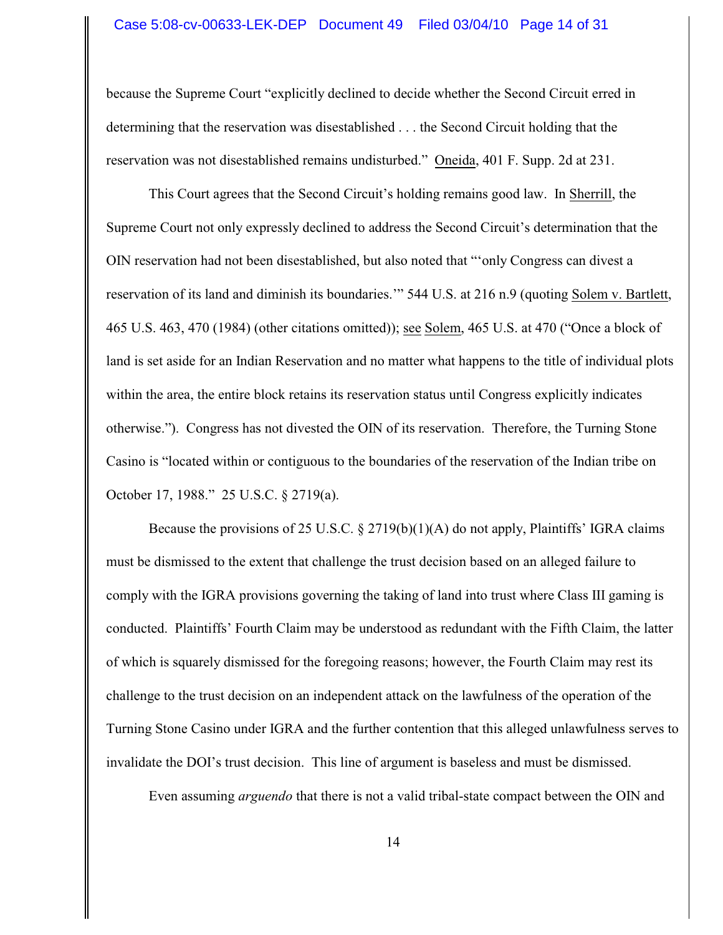because the Supreme Court "explicitly declined to decide whether the Second Circuit erred in determining that the reservation was disestablished . . . the Second Circuit holding that the reservation was not disestablished remains undisturbed." Oneida, 401 F. Supp. 2d at 231.

This Court agrees that the Second Circuit's holding remains good law. In Sherrill, the Supreme Court not only expressly declined to address the Second Circuit's determination that the OIN reservation had not been disestablished, but also noted that "'only Congress can divest a reservation of its land and diminish its boundaries.'" 544 U.S. at 216 n.9 (quoting Solem v. Bartlett, 465 U.S. 463, 470 (1984) (other citations omitted)); see Solem, 465 U.S. at 470 ("Once a block of land is set aside for an Indian Reservation and no matter what happens to the title of individual plots within the area, the entire block retains its reservation status until Congress explicitly indicates otherwise."). Congress has not divested the OIN of its reservation. Therefore, the Turning Stone Casino is "located within or contiguous to the boundaries of the reservation of the Indian tribe on October 17, 1988." 25 U.S.C. § 2719(a).

Because the provisions of 25 U.S.C.  $\S 2719(b)(1)(A)$  do not apply, Plaintiffs' IGRA claims must be dismissed to the extent that challenge the trust decision based on an alleged failure to comply with the IGRA provisions governing the taking of land into trust where Class III gaming is conducted. Plaintiffs' Fourth Claim may be understood as redundant with the Fifth Claim, the latter of which is squarely dismissed for the foregoing reasons; however, the Fourth Claim may rest its challenge to the trust decision on an independent attack on the lawfulness of the operation of the Turning Stone Casino under IGRA and the further contention that this alleged unlawfulness serves to invalidate the DOI's trust decision. This line of argument is baseless and must be dismissed.

Even assuming *arguendo* that there is not a valid tribal-state compact between the OIN and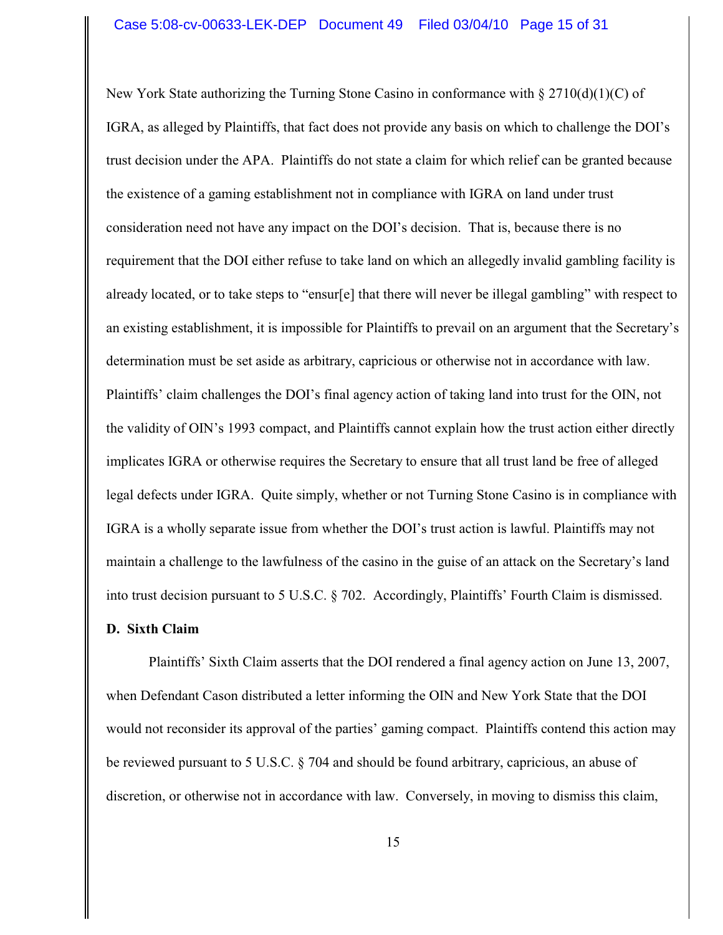New York State authorizing the Turning Stone Casino in conformance with  $\S 2710(d)(1)(C)$  of IGRA, as alleged by Plaintiffs, that fact does not provide any basis on which to challenge the DOI's trust decision under the APA. Plaintiffs do not state a claim for which relief can be granted because the existence of a gaming establishment not in compliance with IGRA on land under trust consideration need not have any impact on the DOI's decision. That is, because there is no requirement that the DOI either refuse to take land on which an allegedly invalid gambling facility is already located, or to take steps to "ensur[e] that there will never be illegal gambling" with respect to an existing establishment, it is impossible for Plaintiffs to prevail on an argument that the Secretary's determination must be set aside as arbitrary, capricious or otherwise not in accordance with law. Plaintiffs' claim challenges the DOI's final agency action of taking land into trust for the OIN, not the validity of OIN's 1993 compact, and Plaintiffs cannot explain how the trust action either directly implicates IGRA or otherwise requires the Secretary to ensure that all trust land be free of alleged legal defects under IGRA. Quite simply, whether or not Turning Stone Casino is in compliance with IGRA is a wholly separate issue from whether the DOI's trust action is lawful. Plaintiffs may not maintain a challenge to the lawfulness of the casino in the guise of an attack on the Secretary's land into trust decision pursuant to 5 U.S.C. § 702. Accordingly, Plaintiffs' Fourth Claim is dismissed.

## **D. Sixth Claim**

Plaintiffs' Sixth Claim asserts that the DOI rendered a final agency action on June 13, 2007, when Defendant Cason distributed a letter informing the OIN and New York State that the DOI would not reconsider its approval of the parties' gaming compact. Plaintiffs contend this action may be reviewed pursuant to 5 U.S.C. § 704 and should be found arbitrary, capricious, an abuse of discretion, or otherwise not in accordance with law. Conversely, in moving to dismiss this claim,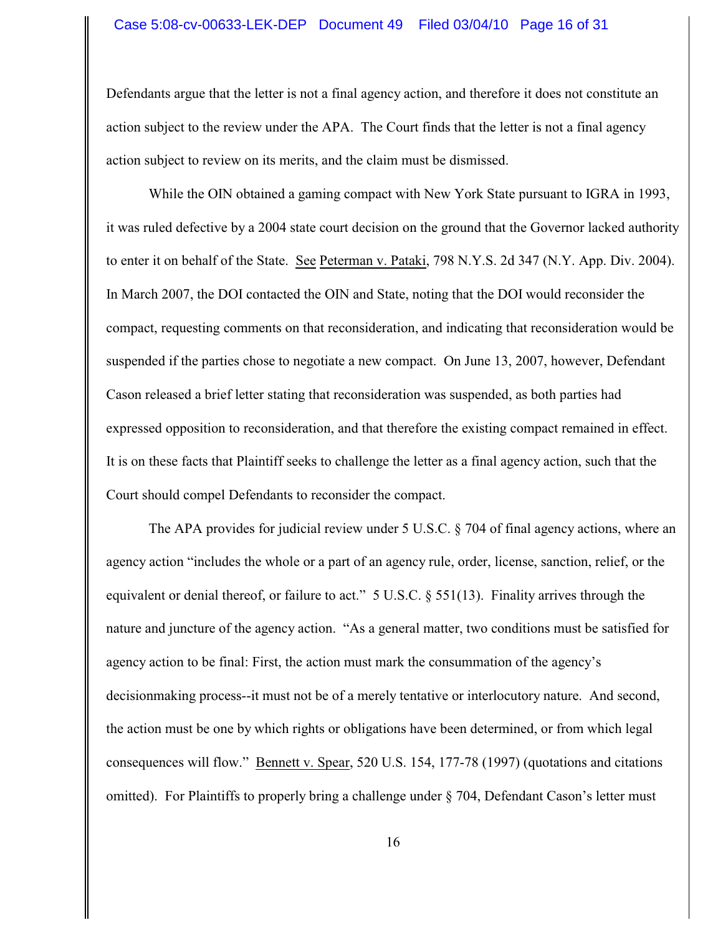#### Case 5:08-cv-00633-LEK-DEP Document 49 Filed 03/04/10 Page 16 of 31

Defendants argue that the letter is not a final agency action, and therefore it does not constitute an action subject to the review under the APA. The Court finds that the letter is not a final agency action subject to review on its merits, and the claim must be dismissed.

While the OIN obtained a gaming compact with New York State pursuant to IGRA in 1993, it was ruled defective by a 2004 state court decision on the ground that the Governor lacked authority to enter it on behalf of the State. See Peterman v. Pataki, 798 N.Y.S. 2d 347 (N.Y. App. Div. 2004). In March 2007, the DOI contacted the OIN and State, noting that the DOI would reconsider the compact, requesting comments on that reconsideration, and indicating that reconsideration would be suspended if the parties chose to negotiate a new compact. On June 13, 2007, however, Defendant Cason released a brief letter stating that reconsideration was suspended, as both parties had expressed opposition to reconsideration, and that therefore the existing compact remained in effect. It is on these facts that Plaintiff seeks to challenge the letter as a final agency action, such that the Court should compel Defendants to reconsider the compact.

The APA provides for judicial review under 5 U.S.C. § 704 of final agency actions, where an agency action "includes the whole or a part of an agency rule, order, license, sanction, relief, or the equivalent or denial thereof, or failure to act." 5 U.S.C. § 551(13). Finality arrives through the nature and juncture of the agency action. "As a general matter, two conditions must be satisfied for agency action to be final: First, the action must mark the consummation of the agency's decisionmaking process--it must not be of a merely tentative or interlocutory nature. And second, the action must be one by which rights or obligations have been determined, or from which legal consequences will flow." Bennett v. Spear, 520 U.S. 154, 177-78 (1997) (quotations and citations omitted). For Plaintiffs to properly bring a challenge under § 704, Defendant Cason's letter must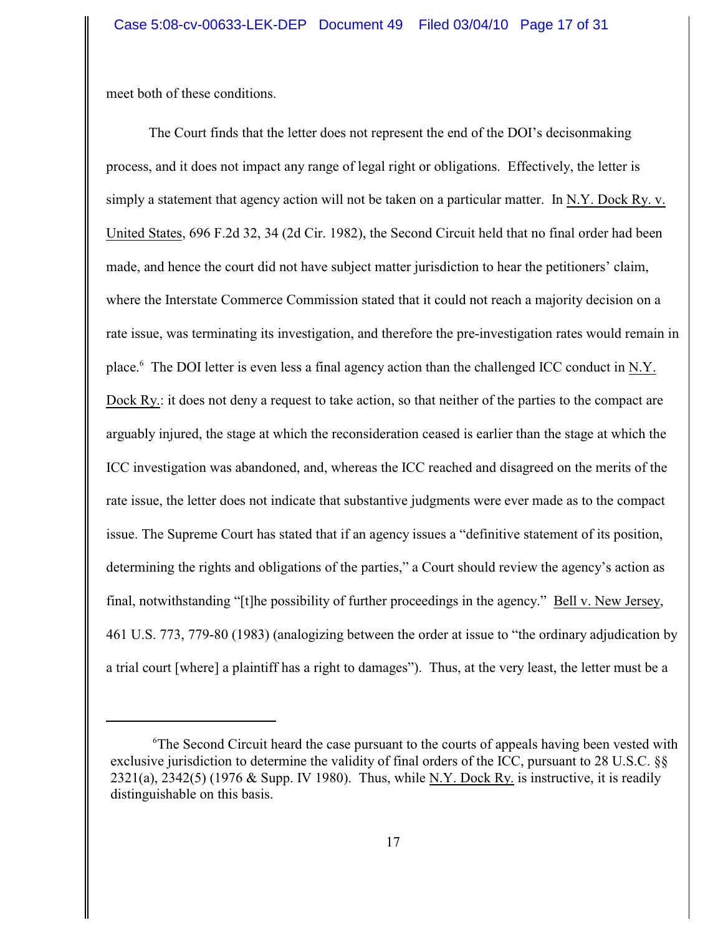meet both of these conditions.

The Court finds that the letter does not represent the end of the DOI's decisonmaking process, and it does not impact any range of legal right or obligations. Effectively, the letter is simply a statement that agency action will not be taken on a particular matter. In N.Y. Dock Ry. v. United States, 696 F.2d 32, 34 (2d Cir. 1982), the Second Circuit held that no final order had been made, and hence the court did not have subject matter jurisdiction to hear the petitioners' claim, where the Interstate Commerce Commission stated that it could not reach a majority decision on a rate issue, was terminating its investigation, and therefore the pre-investigation rates would remain in place.<sup>6</sup> The DOI letter is even less a final agency action than the challenged ICC conduct in N.Y. Dock Ry.: it does not deny a request to take action, so that neither of the parties to the compact are arguably injured, the stage at which the reconsideration ceased is earlier than the stage at which the ICC investigation was abandoned, and, whereas the ICC reached and disagreed on the merits of the rate issue, the letter does not indicate that substantive judgments were ever made as to the compact issue. The Supreme Court has stated that if an agency issues a "definitive statement of its position, determining the rights and obligations of the parties," a Court should review the agency's action as final, notwithstanding "[t]he possibility of further proceedings in the agency." Bell v. New Jersey, 461 U.S. 773, 779-80 (1983) (analogizing between the order at issue to "the ordinary adjudication by a trial court [where] a plaintiff has a right to damages"). Thus, at the very least, the letter must be a

<sup>&</sup>lt;sup>6</sup>The Second Circuit heard the case pursuant to the courts of appeals having been vested with exclusive jurisdiction to determine the validity of final orders of the ICC, pursuant to 28 U.S.C. §§ 2321(a), 2342(5) (1976 & Supp. IV 1980). Thus, while N.Y. Dock Ry. is instructive, it is readily distinguishable on this basis.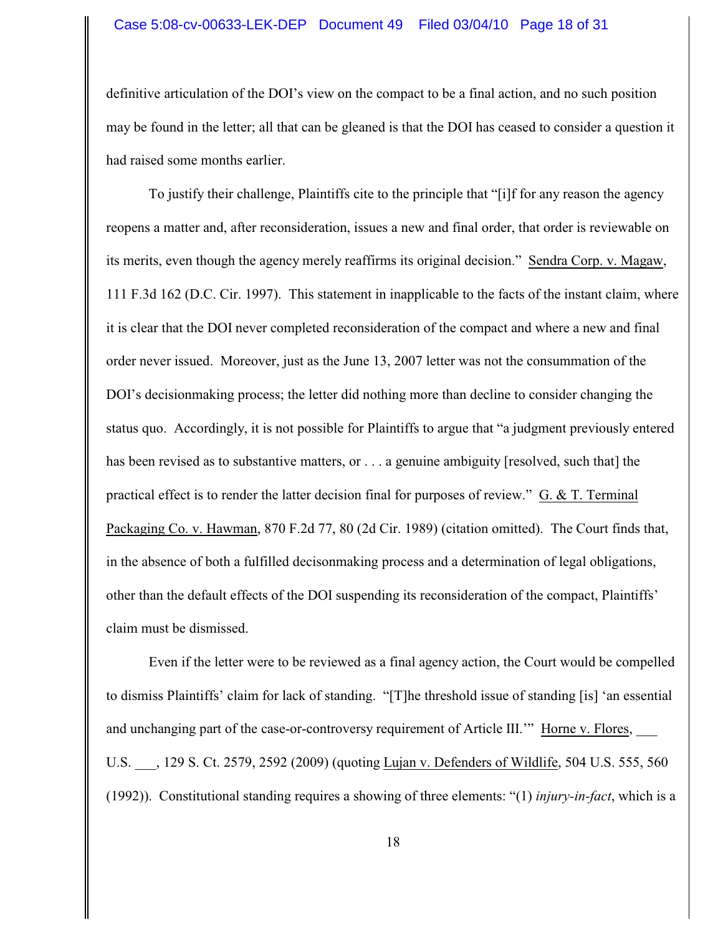#### Case 5:08-cv-00633-LEK-DEP Document 49 Filed 03/04/10 Page 18 of 31

definitive articulation of the DOI's view on the compact to be a final action, and no such position may be found in the letter; all that can be gleaned is that the DOI has ceased to consider a question it had raised some months earlier.

To justify their challenge, Plaintiffs cite to the principle that "[i]f for any reason the agency reopens a matter and, after reconsideration, issues a new and final order, that order is reviewable on its merits, even though the agency merely reaffirms its original decision." Sendra Corp. v. Magaw, 111 F.3d 162 (D.C. Cir. 1997). This statement in inapplicable to the facts of the instant claim, where it is clear that the DOI never completed reconsideration of the compact and where a new and final order never issued. Moreover, just as the June 13, 2007 letter was not the consummation of the DOI's decisionmaking process; the letter did nothing more than decline to consider changing the status quo. Accordingly, it is not possible for Plaintiffs to argue that "a judgment previously entered has been revised as to substantive matters, or . . . a genuine ambiguity [resolved, such that] the practical effect is to render the latter decision final for purposes of review."  $G. \& T.$  Terminal Packaging Co. v. Hawman, 870 F.2d 77, 80 (2d Cir. 1989) (citation omitted). The Court finds that, in the absence of both a fulfilled decisonmaking process and a determination of legal obligations, other than the default effects of the DOI suspending its reconsideration of the compact, Plaintiffs' claim must be dismissed.

Even if the letter were to be reviewed as a final agency action, the Court would be compelled to dismiss Plaintiffs' claim for lack of standing. "[T]he threshold issue of standing [is] 'an essential and unchanging part of the case-or-controversy requirement of Article III."" Horne v. Flores, U.S. \_\_\_, 129 S. Ct. 2579, 2592 (2009) (quoting Lujan v. Defenders of Wildlife, 504 U.S. 555, 560 (1992)). Constitutional standing requires a showing of three elements: "(1) *injury-in-fact*, which is a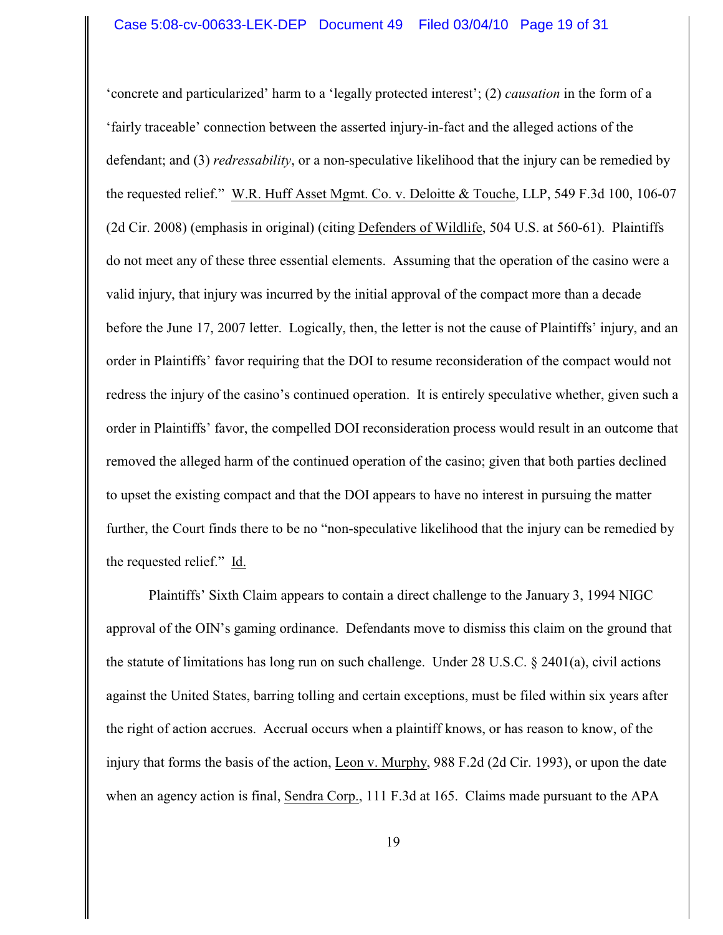'concrete and particularized' harm to a 'legally protected interest'; (2) *causation* in the form of a 'fairly traceable' connection between the asserted injury-in-fact and the alleged actions of the defendant; and (3) *redressability*, or a non-speculative likelihood that the injury can be remedied by the requested relief." W.R. Huff Asset Mgmt. Co. v. Deloitte & Touche, LLP, 549 F.3d 100, 106-07 (2d Cir. 2008) (emphasis in original) (citing Defenders of Wildlife, 504 U.S. at 560-61). Plaintiffs do not meet any of these three essential elements. Assuming that the operation of the casino were a valid injury, that injury was incurred by the initial approval of the compact more than a decade before the June 17, 2007 letter. Logically, then, the letter is not the cause of Plaintiffs' injury, and an order in Plaintiffs' favor requiring that the DOI to resume reconsideration of the compact would not redress the injury of the casino's continued operation. It is entirely speculative whether, given such a order in Plaintiffs' favor, the compelled DOI reconsideration process would result in an outcome that removed the alleged harm of the continued operation of the casino; given that both parties declined to upset the existing compact and that the DOI appears to have no interest in pursuing the matter further, the Court finds there to be no "non-speculative likelihood that the injury can be remedied by the requested relief." Id.

Plaintiffs' Sixth Claim appears to contain a direct challenge to the January 3, 1994 NIGC approval of the OIN's gaming ordinance. Defendants move to dismiss this claim on the ground that the statute of limitations has long run on such challenge. Under 28 U.S.C. § 2401(a), civil actions against the United States, barring tolling and certain exceptions, must be filed within six years after the right of action accrues. Accrual occurs when a plaintiff knows, or has reason to know, of the injury that forms the basis of the action, Leon v. Murphy, 988 F.2d (2d Cir. 1993), or upon the date when an agency action is final, Sendra Corp., 111 F.3d at 165. Claims made pursuant to the APA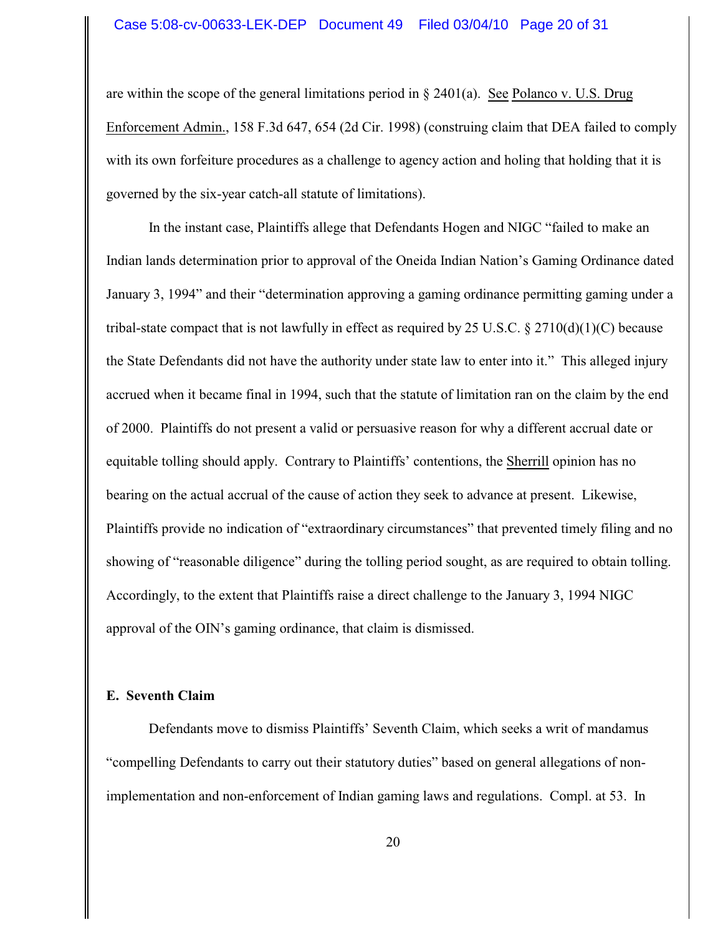are within the scope of the general limitations period in  $\S 2401(a)$ . See Polanco v. U.S. Drug Enforcement Admin., 158 F.3d 647, 654 (2d Cir. 1998) (construing claim that DEA failed to comply with its own forfeiture procedures as a challenge to agency action and holing that holding that it is governed by the six-year catch-all statute of limitations).

In the instant case, Plaintiffs allege that Defendants Hogen and NIGC "failed to make an Indian lands determination prior to approval of the Oneida Indian Nation's Gaming Ordinance dated January 3, 1994" and their "determination approving a gaming ordinance permitting gaming under a tribal-state compact that is not lawfully in effect as required by 25 U.S.C. § 2710(d)(1)(C) because the State Defendants did not have the authority under state law to enter into it." This alleged injury accrued when it became final in 1994, such that the statute of limitation ran on the claim by the end of 2000. Plaintiffs do not present a valid or persuasive reason for why a different accrual date or equitable tolling should apply. Contrary to Plaintiffs' contentions, the Sherrill opinion has no bearing on the actual accrual of the cause of action they seek to advance at present. Likewise, Plaintiffs provide no indication of "extraordinary circumstances" that prevented timely filing and no showing of "reasonable diligence" during the tolling period sought, as are required to obtain tolling. Accordingly, to the extent that Plaintiffs raise a direct challenge to the January 3, 1994 NIGC approval of the OIN's gaming ordinance, that claim is dismissed.

# **E. Seventh Claim**

Defendants move to dismiss Plaintiffs' Seventh Claim, which seeks a writ of mandamus "compelling Defendants to carry out their statutory duties" based on general allegations of nonimplementation and non-enforcement of Indian gaming laws and regulations. Compl. at 53. In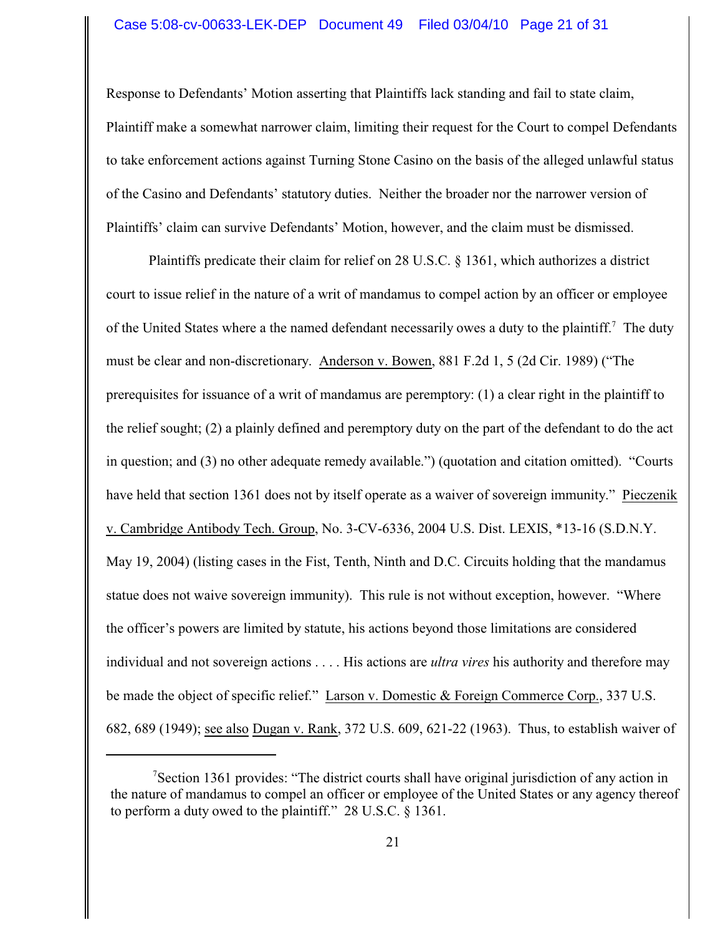## Case 5:08-cv-00633-LEK-DEP Document 49 Filed 03/04/10 Page 21 of 31

Response to Defendants' Motion asserting that Plaintiffs lack standing and fail to state claim, Plaintiff make a somewhat narrower claim, limiting their request for the Court to compel Defendants to take enforcement actions against Turning Stone Casino on the basis of the alleged unlawful status of the Casino and Defendants' statutory duties. Neither the broader nor the narrower version of Plaintiffs' claim can survive Defendants' Motion, however, and the claim must be dismissed.

Plaintiffs predicate their claim for relief on 28 U.S.C. § 1361, which authorizes a district court to issue relief in the nature of a writ of mandamus to compel action by an officer or employee of the United States where a the named defendant necessarily owes a duty to the plaintiff.<sup>7</sup> The duty must be clear and non-discretionary. Anderson v. Bowen, 881 F.2d 1, 5 (2d Cir. 1989) ("The prerequisites for issuance of a writ of mandamus are peremptory: (1) a clear right in the plaintiff to the relief sought; (2) a plainly defined and peremptory duty on the part of the defendant to do the act in question; and (3) no other adequate remedy available.") (quotation and citation omitted). "Courts have held that section 1361 does not by itself operate as a waiver of sovereign immunity." Pieczenik v. Cambridge Antibody Tech. Group, No. 3-CV-6336, 2004 U.S. Dist. LEXIS, \*13-16 (S.D.N.Y. May 19, 2004) (listing cases in the Fist, Tenth, Ninth and D.C. Circuits holding that the mandamus statue does not waive sovereign immunity). This rule is not without exception, however. "Where the officer's powers are limited by statute, his actions beyond those limitations are considered individual and not sovereign actions . . . . His actions are *ultra vires* his authority and therefore may be made the object of specific relief." Larson v. Domestic & Foreign Commerce Corp., 337 U.S. 682, 689 (1949); see also Dugan v. Rank, 372 U.S. 609, 621-22 (1963). Thus, to establish waiver of

Section 1361 provides: "The district courts shall have original jurisdiction of any action in the nature of mandamus to compel an officer or employee of the United States or any agency thereof to perform a duty owed to the plaintiff." 28 U.S.C. § 1361.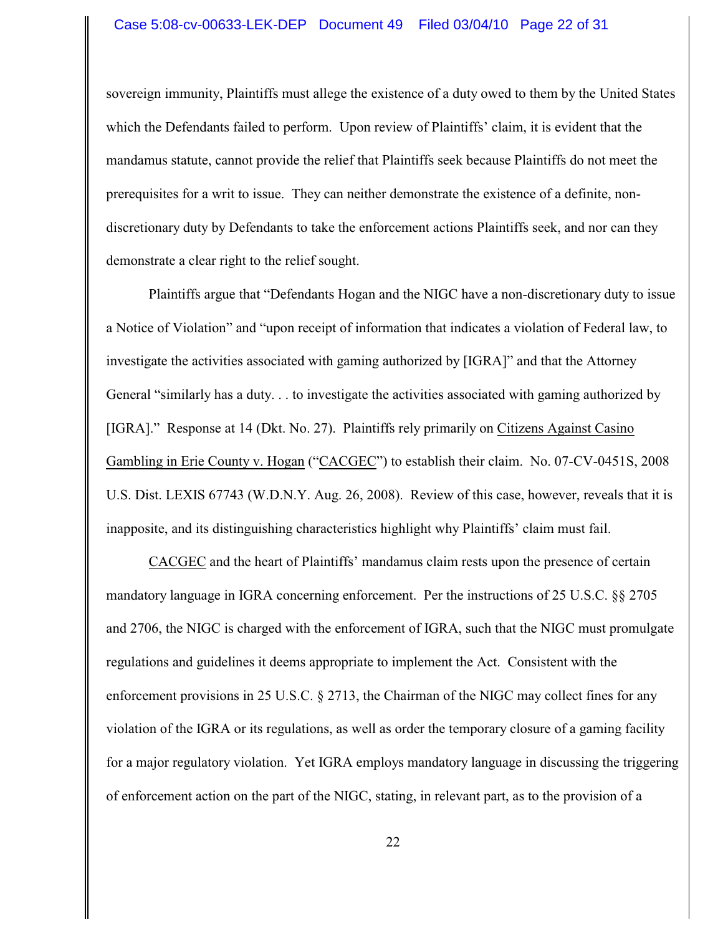sovereign immunity, Plaintiffs must allege the existence of a duty owed to them by the United States which the Defendants failed to perform. Upon review of Plaintiffs' claim, it is evident that the mandamus statute, cannot provide the relief that Plaintiffs seek because Plaintiffs do not meet the prerequisites for a writ to issue. They can neither demonstrate the existence of a definite, nondiscretionary duty by Defendants to take the enforcement actions Plaintiffs seek, and nor can they demonstrate a clear right to the relief sought.

Plaintiffs argue that "Defendants Hogan and the NIGC have a non-discretionary duty to issue a Notice of Violation" and "upon receipt of information that indicates a violation of Federal law, to investigate the activities associated with gaming authorized by [IGRA]" and that the Attorney General "similarly has a duty. . . to investigate the activities associated with gaming authorized by [IGRA]." Response at 14 (Dkt. No. 27). Plaintiffs rely primarily on Citizens Against Casino Gambling in Erie County v. Hogan ("CACGEC") to establish their claim. No. 07-CV-0451S, 2008 U.S. Dist. LEXIS 67743 (W.D.N.Y. Aug. 26, 2008). Review of this case, however, reveals that it is inapposite, and its distinguishing characteristics highlight why Plaintiffs' claim must fail.

CACGEC and the heart of Plaintiffs' mandamus claim rests upon the presence of certain mandatory language in IGRA concerning enforcement. Per the instructions of 25 U.S.C. §§ 2705 and 2706, the NIGC is charged with the enforcement of IGRA, such that the NIGC must promulgate regulations and guidelines it deems appropriate to implement the Act. Consistent with the enforcement provisions in 25 U.S.C. § 2713, the Chairman of the NIGC may collect fines for any violation of the IGRA or its regulations, as well as order the temporary closure of a gaming facility for a major regulatory violation. Yet IGRA employs mandatory language in discussing the triggering of enforcement action on the part of the NIGC, stating, in relevant part, as to the provision of a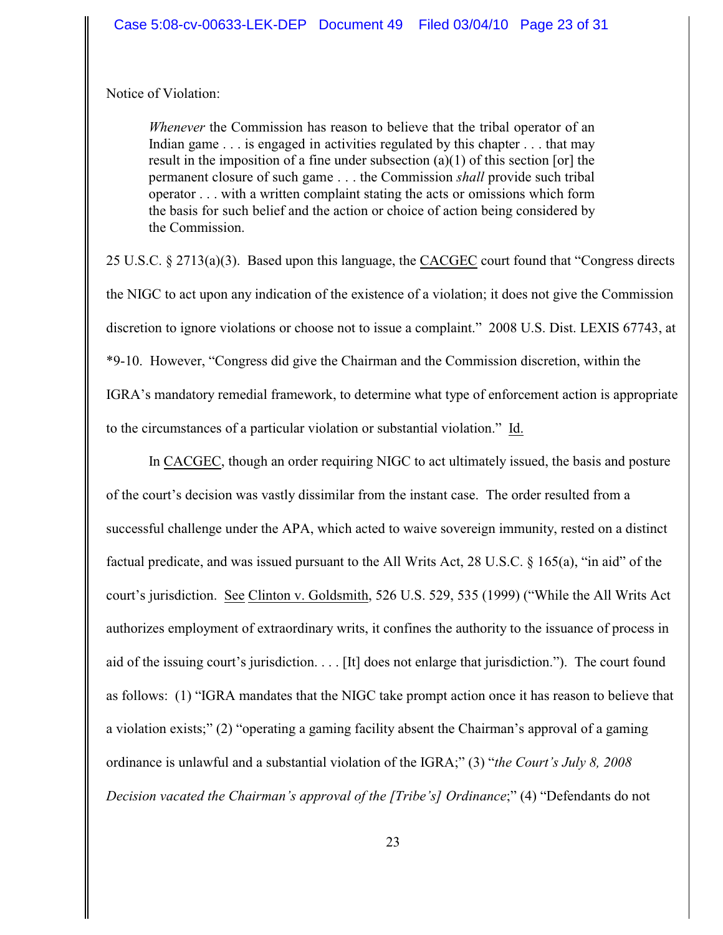Notice of Violation:

*Whenever* the Commission has reason to believe that the tribal operator of an Indian game . . . is engaged in activities regulated by this chapter . . . that may result in the imposition of a fine under subsection  $(a)(1)$  of this section [or] the permanent closure of such game . . . the Commission *shall* provide such tribal operator . . . with a written complaint stating the acts or omissions which form the basis for such belief and the action or choice of action being considered by the Commission.

25 U.S.C. § 2713(a)(3). Based upon this language, the CACGEC court found that "Congress directs the NIGC to act upon any indication of the existence of a violation; it does not give the Commission discretion to ignore violations or choose not to issue a complaint." 2008 U.S. Dist. LEXIS 67743, at \*9-10. However, "Congress did give the Chairman and the Commission discretion, within the IGRA's mandatory remedial framework, to determine what type of enforcement action is appropriate to the circumstances of a particular violation or substantial violation." Id.

In CACGEC, though an order requiring NIGC to act ultimately issued, the basis and posture of the court's decision was vastly dissimilar from the instant case. The order resulted from a successful challenge under the APA, which acted to waive sovereign immunity, rested on a distinct factual predicate, and was issued pursuant to the All Writs Act, 28 U.S.C. § 165(a), "in aid" of the court's jurisdiction. See Clinton v. Goldsmith, 526 U.S. 529, 535 (1999) ("While the All Writs Act authorizes employment of extraordinary writs, it confines the authority to the issuance of process in aid of the issuing court's jurisdiction. . . . [It] does not enlarge that jurisdiction."). The court found as follows: (1) "IGRA mandates that the NIGC take prompt action once it has reason to believe that a violation exists;" (2) "operating a gaming facility absent the Chairman's approval of a gaming ordinance is unlawful and a substantial violation of the IGRA;" (3) "*the Court's July 8, 2008 Decision vacated the Chairman's approval of the [Tribe's] Ordinance*;" (4) "Defendants do not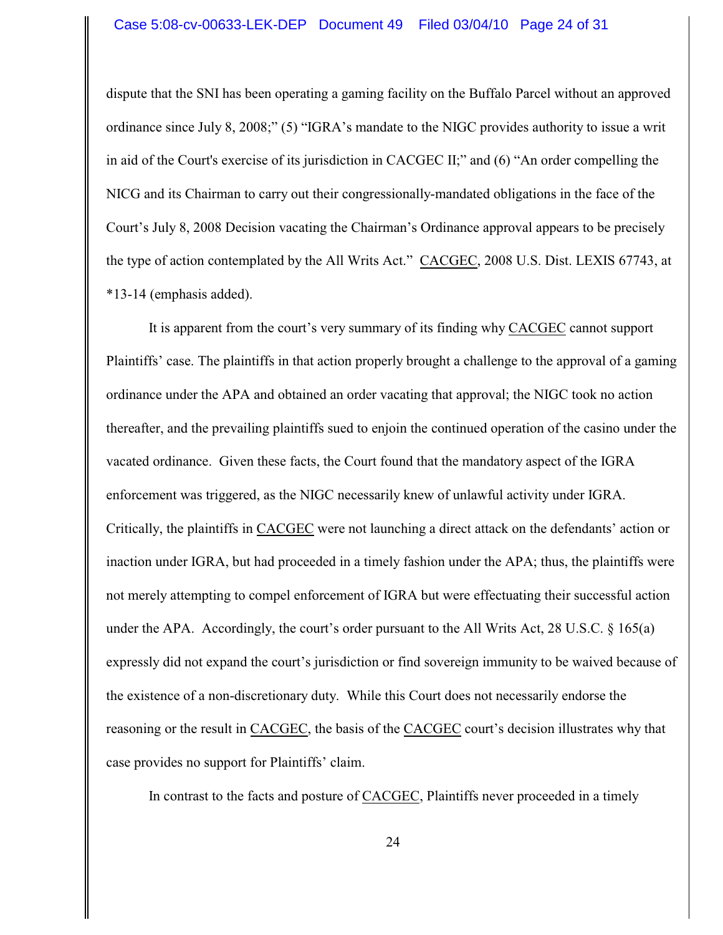#### Case 5:08-cv-00633-LEK-DEP Document 49 Filed 03/04/10 Page 24 of 31

dispute that the SNI has been operating a gaming facility on the Buffalo Parcel without an approved ordinance since July 8, 2008;" (5) "IGRA's mandate to the NIGC provides authority to issue a writ in aid of the Court's exercise of its jurisdiction in CACGEC II;" and (6) "An order compelling the NICG and its Chairman to carry out their congressionally-mandated obligations in the face of the Court's July 8, 2008 Decision vacating the Chairman's Ordinance approval appears to be precisely the type of action contemplated by the All Writs Act." CACGEC, 2008 U.S. Dist. LEXIS 67743, at \*13-14 (emphasis added).

It is apparent from the court's very summary of its finding why CACGEC cannot support Plaintiffs' case. The plaintiffs in that action properly brought a challenge to the approval of a gaming ordinance under the APA and obtained an order vacating that approval; the NIGC took no action thereafter, and the prevailing plaintiffs sued to enjoin the continued operation of the casino under the vacated ordinance. Given these facts, the Court found that the mandatory aspect of the IGRA enforcement was triggered, as the NIGC necessarily knew of unlawful activity under IGRA. Critically, the plaintiffs in CACGEC were not launching a direct attack on the defendants' action or inaction under IGRA, but had proceeded in a timely fashion under the APA; thus, the plaintiffs were not merely attempting to compel enforcement of IGRA but were effectuating their successful action under the APA. Accordingly, the court's order pursuant to the All Writs Act, 28 U.S.C.  $\S$  165(a) expressly did not expand the court's jurisdiction or find sovereign immunity to be waived because of the existence of a non-discretionary duty. While this Court does not necessarily endorse the reasoning or the result in CACGEC, the basis of the CACGEC court's decision illustrates why that case provides no support for Plaintiffs' claim.

In contrast to the facts and posture of CACGEC, Plaintiffs never proceeded in a timely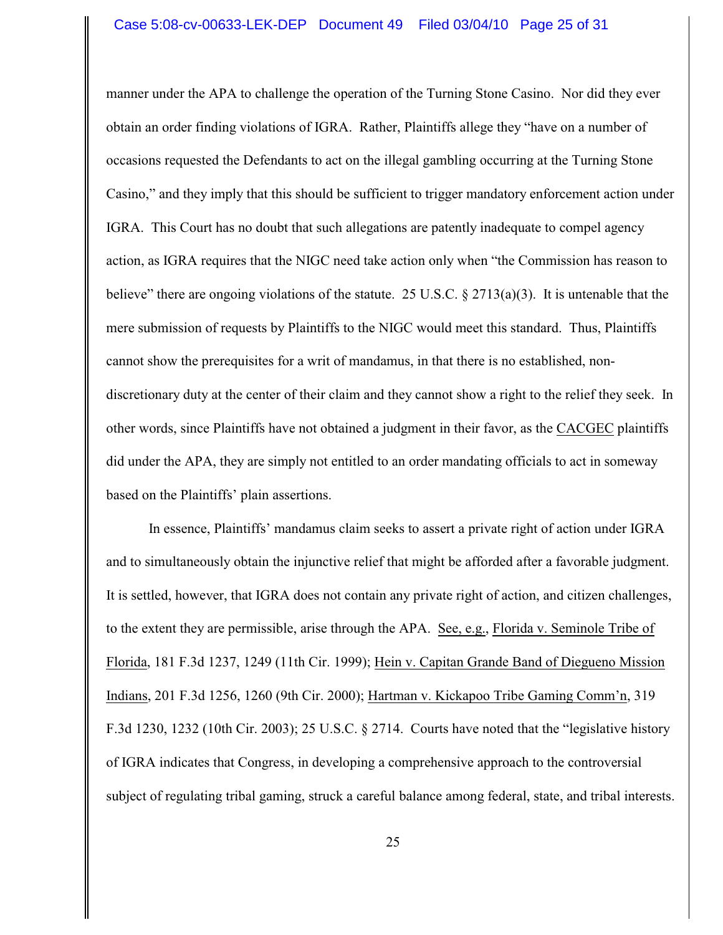#### Case 5:08-cv-00633-LEK-DEP Document 49 Filed 03/04/10 Page 25 of 31

manner under the APA to challenge the operation of the Turning Stone Casino. Nor did they ever obtain an order finding violations of IGRA. Rather, Plaintiffs allege they "have on a number of occasions requested the Defendants to act on the illegal gambling occurring at the Turning Stone Casino," and they imply that this should be sufficient to trigger mandatory enforcement action under IGRA. This Court has no doubt that such allegations are patently inadequate to compel agency action, as IGRA requires that the NIGC need take action only when "the Commission has reason to believe" there are ongoing violations of the statute. 25 U.S.C. § 2713(a)(3). It is untenable that the mere submission of requests by Plaintiffs to the NIGC would meet this standard. Thus, Plaintiffs cannot show the prerequisites for a writ of mandamus, in that there is no established, nondiscretionary duty at the center of their claim and they cannot show a right to the relief they seek. In other words, since Plaintiffs have not obtained a judgment in their favor, as the CACGEC plaintiffs did under the APA, they are simply not entitled to an order mandating officials to act in someway based on the Plaintiffs' plain assertions.

In essence, Plaintiffs' mandamus claim seeks to assert a private right of action under IGRA and to simultaneously obtain the injunctive relief that might be afforded after a favorable judgment. It is settled, however, that IGRA does not contain any private right of action, and citizen challenges, to the extent they are permissible, arise through the APA. See, e.g., Florida v. Seminole Tribe of Florida, 181 F.3d 1237, 1249 (11th Cir. 1999); Hein v. Capitan Grande Band of Diegueno Mission Indians, 201 F.3d 1256, 1260 (9th Cir. 2000); Hartman v. Kickapoo Tribe Gaming Comm'n, 319 F.3d 1230, 1232 (10th Cir. 2003); 25 U.S.C. § 2714. Courts have noted that the "legislative history of IGRA indicates that Congress, in developing a comprehensive approach to the controversial subject of regulating tribal gaming, struck a careful balance among federal, state, and tribal interests.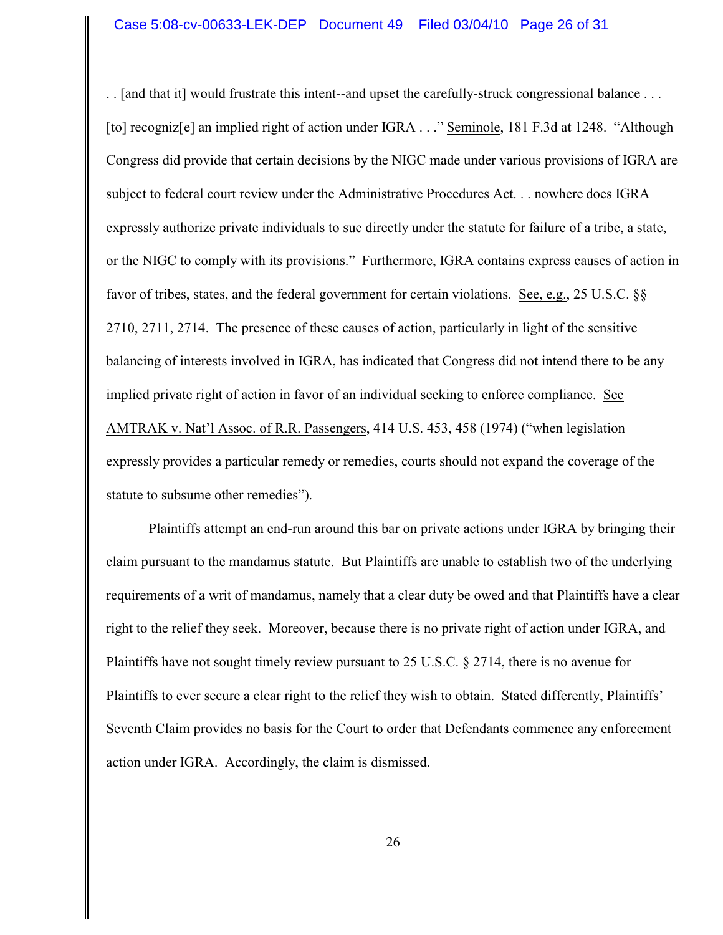. . [and that it] would frustrate this intent--and upset the carefully-struck congressional balance . . . [to] recogniz[e] an implied right of action under IGRA . . ." Seminole, 181 F.3d at 1248. "Although Congress did provide that certain decisions by the NIGC made under various provisions of IGRA are subject to federal court review under the Administrative Procedures Act. . . nowhere does IGRA expressly authorize private individuals to sue directly under the statute for failure of a tribe, a state, or the NIGC to comply with its provisions." Furthermore, IGRA contains express causes of action in favor of tribes, states, and the federal government for certain violations. See, e.g., 25 U.S.C. §§ 2710, 2711, 2714. The presence of these causes of action, particularly in light of the sensitive balancing of interests involved in IGRA, has indicated that Congress did not intend there to be any implied private right of action in favor of an individual seeking to enforce compliance. See AMTRAK v. Nat'l Assoc. of R.R. Passengers, 414 U.S. 453, 458 (1974) ("when legislation expressly provides a particular remedy or remedies, courts should not expand the coverage of the statute to subsume other remedies").

Plaintiffs attempt an end-run around this bar on private actions under IGRA by bringing their claim pursuant to the mandamus statute. But Plaintiffs are unable to establish two of the underlying requirements of a writ of mandamus, namely that a clear duty be owed and that Plaintiffs have a clear right to the relief they seek. Moreover, because there is no private right of action under IGRA, and Plaintiffs have not sought timely review pursuant to 25 U.S.C. § 2714, there is no avenue for Plaintiffs to ever secure a clear right to the relief they wish to obtain. Stated differently, Plaintiffs' Seventh Claim provides no basis for the Court to order that Defendants commence any enforcement action under IGRA. Accordingly, the claim is dismissed.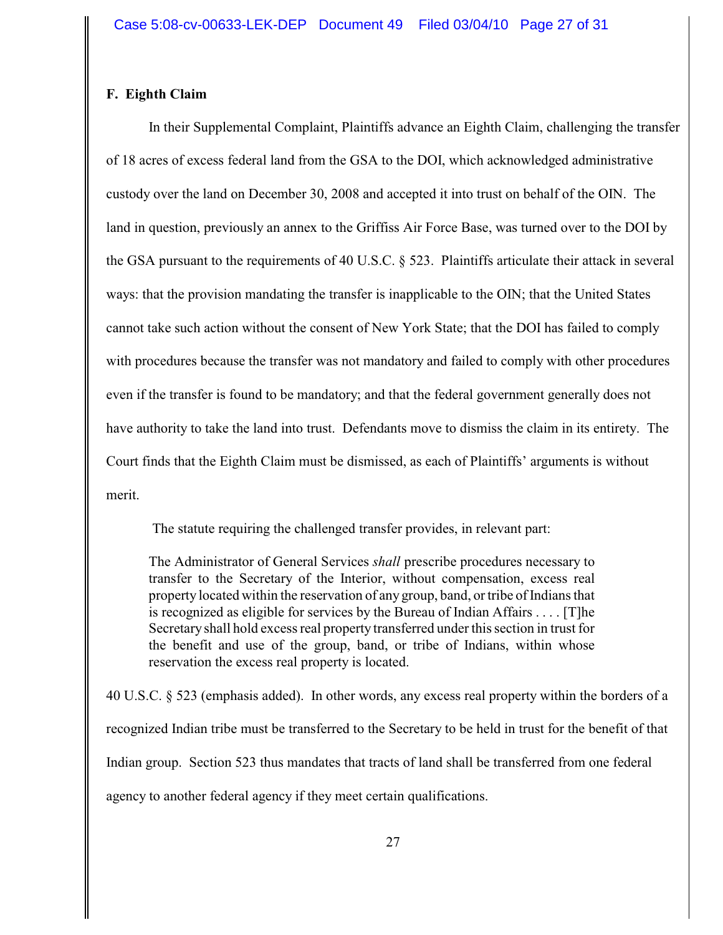# **F. Eighth Claim**

In their Supplemental Complaint, Plaintiffs advance an Eighth Claim, challenging the transfer of 18 acres of excess federal land from the GSA to the DOI, which acknowledged administrative custody over the land on December 30, 2008 and accepted it into trust on behalf of the OIN. The land in question, previously an annex to the Griffiss Air Force Base, was turned over to the DOI by the GSA pursuant to the requirements of 40 U.S.C. § 523. Plaintiffs articulate their attack in several ways: that the provision mandating the transfer is inapplicable to the OIN; that the United States cannot take such action without the consent of New York State; that the DOI has failed to comply with procedures because the transfer was not mandatory and failed to comply with other procedures even if the transfer is found to be mandatory; and that the federal government generally does not have authority to take the land into trust. Defendants move to dismiss the claim in its entirety. The Court finds that the Eighth Claim must be dismissed, as each of Plaintiffs' arguments is without merit.

The statute requiring the challenged transfer provides, in relevant part:

The Administrator of General Services *shall* prescribe procedures necessary to transfer to the Secretary of the Interior, without compensation, excess real property located within the reservation of any group, band, or tribe of Indians that is recognized as eligible for services by the Bureau of Indian Affairs . . . . [T]he Secretary shall hold excess real property transferred under this section in trust for the benefit and use of the group, band, or tribe of Indians, within whose reservation the excess real property is located.

40 U.S.C. § 523 (emphasis added). In other words, any excess real property within the borders of a recognized Indian tribe must be transferred to the Secretary to be held in trust for the benefit of that Indian group. Section 523 thus mandates that tracts of land shall be transferred from one federal agency to another federal agency if they meet certain qualifications.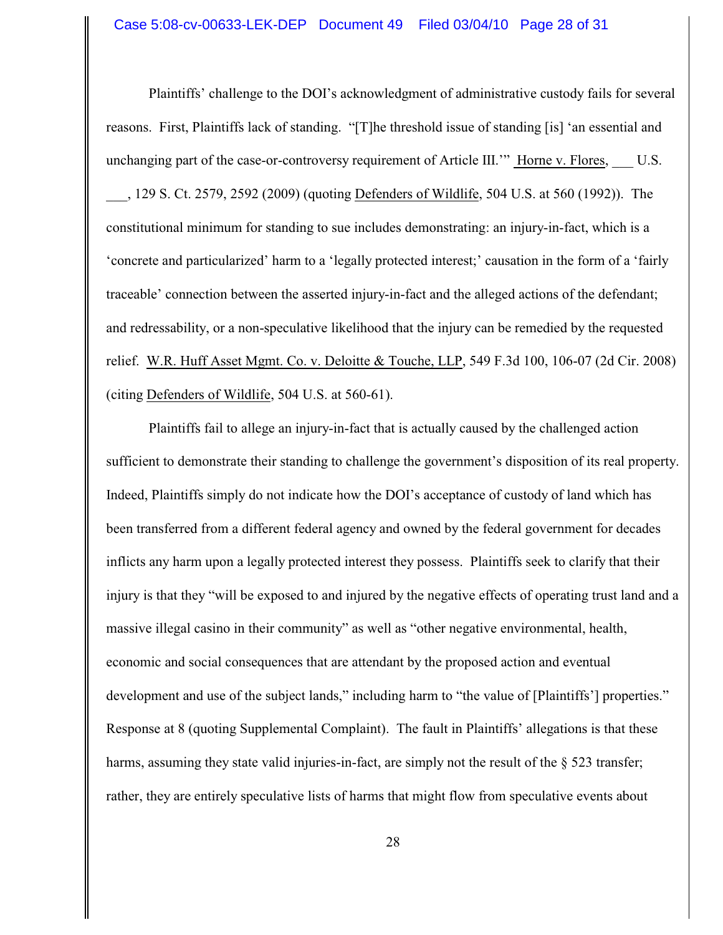Plaintiffs' challenge to the DOI's acknowledgment of administrative custody fails for several reasons. First, Plaintiffs lack of standing. "[T]he threshold issue of standing [is] 'an essential and unchanging part of the case-or-controversy requirement of Article III."" Horne v. Flores, U.S. \_\_\_, 129 S. Ct. 2579, 2592 (2009) (quoting Defenders of Wildlife, 504 U.S. at 560 (1992)). The constitutional minimum for standing to sue includes demonstrating: an injury-in-fact, which is a 'concrete and particularized' harm to a 'legally protected interest;' causation in the form of a 'fairly traceable' connection between the asserted injury-in-fact and the alleged actions of the defendant; and redressability, or a non-speculative likelihood that the injury can be remedied by the requested relief. W.R. Huff Asset Mgmt. Co. v. Deloitte & Touche, LLP, 549 F.3d 100, 106-07 (2d Cir. 2008) (citing Defenders of Wildlife, 504 U.S. at 560-61).

Plaintiffs fail to allege an injury-in-fact that is actually caused by the challenged action sufficient to demonstrate their standing to challenge the government's disposition of its real property. Indeed, Plaintiffs simply do not indicate how the DOI's acceptance of custody of land which has been transferred from a different federal agency and owned by the federal government for decades inflicts any harm upon a legally protected interest they possess. Plaintiffs seek to clarify that their injury is that they "will be exposed to and injured by the negative effects of operating trust land and a massive illegal casino in their community" as well as "other negative environmental, health, economic and social consequences that are attendant by the proposed action and eventual development and use of the subject lands," including harm to "the value of [Plaintiffs'] properties." Response at 8 (quoting Supplemental Complaint). The fault in Plaintiffs' allegations is that these harms, assuming they state valid injuries-in-fact, are simply not the result of the § 523 transfer; rather, they are entirely speculative lists of harms that might flow from speculative events about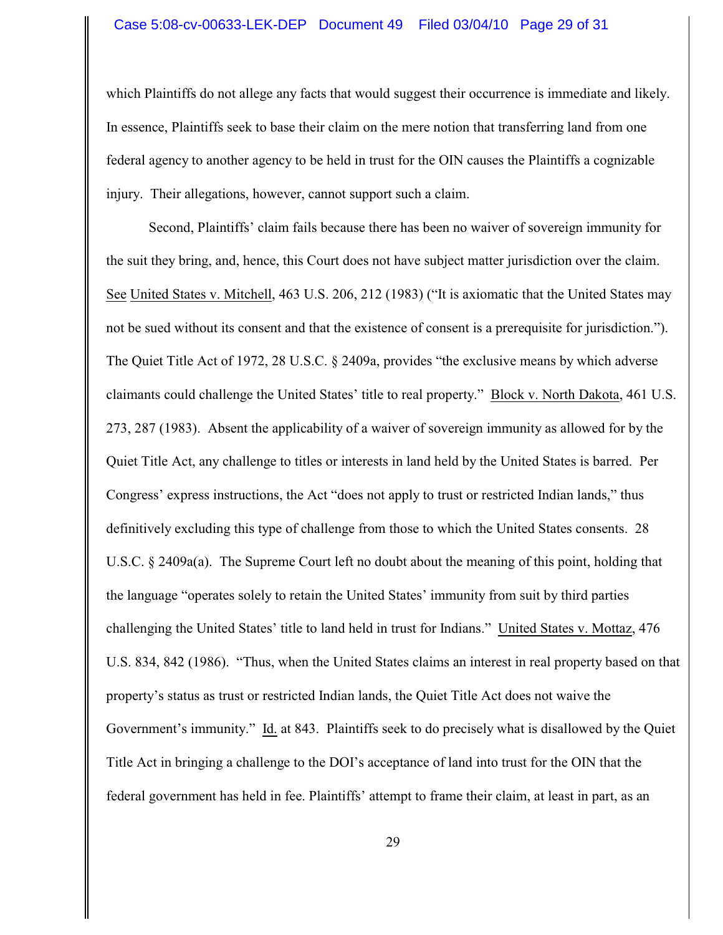#### Case 5:08-cv-00633-LEK-DEP Document 49 Filed 03/04/10 Page 29 of 31

which Plaintiffs do not allege any facts that would suggest their occurrence is immediate and likely. In essence, Plaintiffs seek to base their claim on the mere notion that transferring land from one federal agency to another agency to be held in trust for the OIN causes the Plaintiffs a cognizable injury. Their allegations, however, cannot support such a claim.

Second, Plaintiffs' claim fails because there has been no waiver of sovereign immunity for the suit they bring, and, hence, this Court does not have subject matter jurisdiction over the claim. See United States v. Mitchell, 463 U.S. 206, 212 (1983) ("It is axiomatic that the United States may not be sued without its consent and that the existence of consent is a prerequisite for jurisdiction."). The Quiet Title Act of 1972, 28 U.S.C. § 2409a, provides "the exclusive means by which adverse claimants could challenge the United States' title to real property." Block v. North Dakota, 461 U.S. 273, 287 (1983). Absent the applicability of a waiver of sovereign immunity as allowed for by the Quiet Title Act, any challenge to titles or interests in land held by the United States is barred. Per Congress' express instructions, the Act "does not apply to trust or restricted Indian lands," thus definitively excluding this type of challenge from those to which the United States consents. 28 U.S.C. § 2409a(a). The Supreme Court left no doubt about the meaning of this point, holding that the language "operates solely to retain the United States' immunity from suit by third parties challenging the United States' title to land held in trust for Indians." United States v. Mottaz, 476 U.S. 834, 842 (1986). "Thus, when the United States claims an interest in real property based on that property's status as trust or restricted Indian lands, the Quiet Title Act does not waive the Government's immunity." Id. at 843. Plaintiffs seek to do precisely what is disallowed by the Quiet Title Act in bringing a challenge to the DOI's acceptance of land into trust for the OIN that the federal government has held in fee. Plaintiffs' attempt to frame their claim, at least in part, as an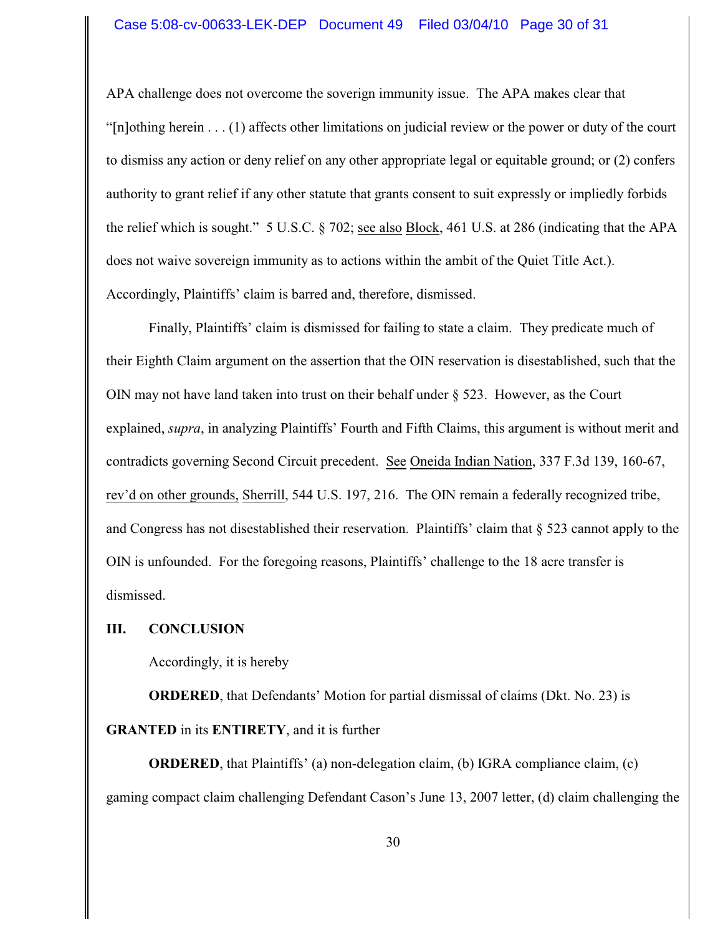### Case 5:08-cv-00633-LEK-DEP Document 49 Filed 03/04/10 Page 30 of 31

APA challenge does not overcome the soverign immunity issue. The APA makes clear that "[n]othing herein . . . (1) affects other limitations on judicial review or the power or duty of the court to dismiss any action or deny relief on any other appropriate legal or equitable ground; or (2) confers authority to grant relief if any other statute that grants consent to suit expressly or impliedly forbids the relief which is sought." 5 U.S.C. § 702; see also Block, 461 U.S. at 286 (indicating that the APA does not waive sovereign immunity as to actions within the ambit of the Quiet Title Act.). Accordingly, Plaintiffs' claim is barred and, therefore, dismissed.

Finally, Plaintiffs' claim is dismissed for failing to state a claim. They predicate much of their Eighth Claim argument on the assertion that the OIN reservation is disestablished, such that the OIN may not have land taken into trust on their behalf under  $\S$  523. However, as the Court explained, *supra*, in analyzing Plaintiffs' Fourth and Fifth Claims, this argument is without merit and contradicts governing Second Circuit precedent. See Oneida Indian Nation, 337 F.3d 139, 160-67, rev'd on other grounds, Sherrill, 544 U.S. 197, 216. The OIN remain a federally recognized tribe, and Congress has not disestablished their reservation. Plaintiffs' claim that § 523 cannot apply to the OIN is unfounded. For the foregoing reasons, Plaintiffs' challenge to the 18 acre transfer is dismissed.

### **III. CONCLUSION**

Accordingly, it is hereby

**ORDERED**, that Defendants' Motion for partial dismissal of claims (Dkt. No. 23) is **GRANTED** in its **ENTIRETY**, and it is further

**ORDERED**, that Plaintiffs' (a) non-delegation claim, (b) IGRA compliance claim, (c) gaming compact claim challenging Defendant Cason's June 13, 2007 letter, (d) claim challenging the